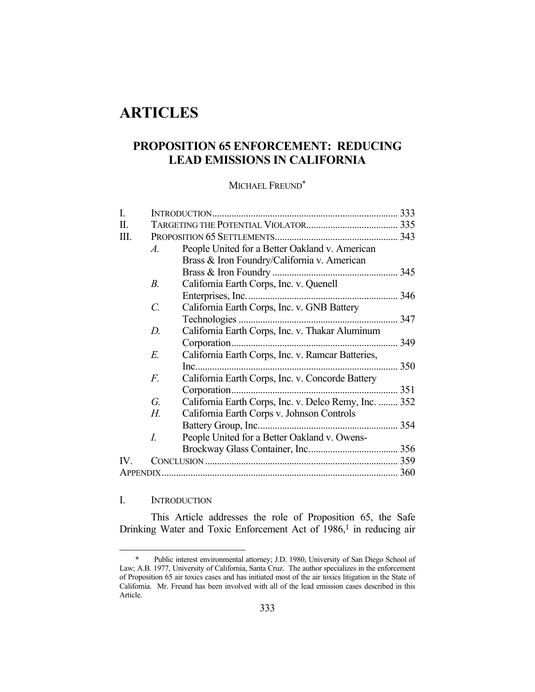# **ARTICLES**

## **PROPOSITION 65 ENFORCEMENT: REDUCING LEAD EMISSIONS IN CALIFORNIA**

## MICHAEL FREUND\*

| I.                    |             |                                                       |     |
|-----------------------|-------------|-------------------------------------------------------|-----|
| Π.                    |             |                                                       |     |
| Ш.                    |             |                                                       |     |
|                       | $A_{\cdot}$ | People United for a Better Oakland v. American        |     |
|                       |             | Brass & Iron Foundry/California v. American           |     |
|                       |             |                                                       |     |
|                       | $B$ .       | California Earth Corps, Inc. v. Quenell               |     |
|                       |             |                                                       |     |
|                       | C.          | California Earth Corps, Inc. v. GNB Battery           |     |
|                       |             |                                                       |     |
|                       | D.          | California Earth Corps, Inc. v. Thakar Aluminum       |     |
|                       |             | Corporation                                           | 349 |
|                       | E.          | California Earth Corps, Inc. v. Ramcar Batteries,     |     |
|                       |             |                                                       |     |
|                       | F.          | California Earth Corps, Inc. v. Concorde Battery      |     |
|                       |             | Corporation                                           |     |
|                       | G.          | California Earth Corps, Inc. v. Delco Remy, Inc.  352 |     |
|                       | Н.          | California Earth Corps v. Johnson Controls            |     |
|                       |             |                                                       |     |
|                       | I.          | People United for a Better Oakland v. Owens-          |     |
|                       |             |                                                       |     |
| $\mathbf{IV}_{\cdot}$ |             |                                                       |     |
| <b>APPENDIX</b>       |             |                                                       |     |

## I. INTRODUCTION

1

 This Article addresses the role of Proposition 65, the Safe Drinking Water and Toxic Enforcement Act of 1986,<sup>1</sup> in reducing air

 <sup>\*</sup> Public interest environmental attorney; J.D. 1980, University of San Diego School of Law; A.B. 1977, University of California, Santa Cruz. The author specializes in the enforcement of Proposition 65 air toxics cases and has initiated most of the air toxics litigation in the State of California. Mr. Freund has been involved with all of the lead emission cases described in this Article.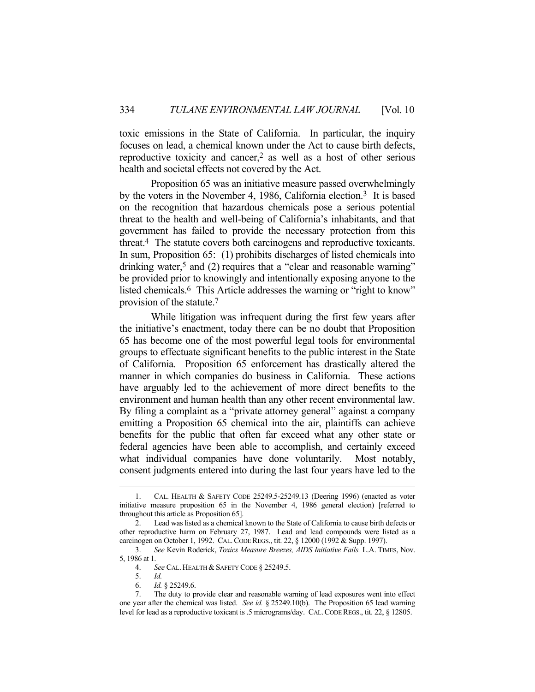toxic emissions in the State of California. In particular, the inquiry focuses on lead, a chemical known under the Act to cause birth defects, reproductive toxicity and cancer,<sup>2</sup> as well as a host of other serious health and societal effects not covered by the Act.

 Proposition 65 was an initiative measure passed overwhelmingly by the voters in the November 4, 1986, California election.3 It is based on the recognition that hazardous chemicals pose a serious potential threat to the health and well-being of California's inhabitants, and that government has failed to provide the necessary protection from this threat.4 The statute covers both carcinogens and reproductive toxicants. In sum, Proposition 65: (1) prohibits discharges of listed chemicals into drinking water,<sup>5</sup> and (2) requires that a "clear and reasonable warning" be provided prior to knowingly and intentionally exposing anyone to the listed chemicals.<sup>6</sup> This Article addresses the warning or "right to know" provision of the statute.7

 While litigation was infrequent during the first few years after the initiative's enactment, today there can be no doubt that Proposition 65 has become one of the most powerful legal tools for environmental groups to effectuate significant benefits to the public interest in the State of California. Proposition 65 enforcement has drastically altered the manner in which companies do business in California. These actions have arguably led to the achievement of more direct benefits to the environment and human health than any other recent environmental law. By filing a complaint as a "private attorney general" against a company emitting a Proposition 65 chemical into the air, plaintiffs can achieve benefits for the public that often far exceed what any other state or federal agencies have been able to accomplish, and certainly exceed what individual companies have done voluntarily. Most notably, consent judgments entered into during the last four years have led to the

6. *Id.* § 25249.6.

 <sup>1.</sup> CAL. HEALTH & SAFETY CODE 25249.5-25249.13 (Deering 1996) (enacted as voter initiative measure proposition 65 in the November 4, 1986 general election) [referred to throughout this article as Proposition 65].

 <sup>2.</sup> Lead was listed as a chemical known to the State of California to cause birth defects or other reproductive harm on February 27, 1987. Lead and lead compounds were listed as a carcinogen on October 1, 1992. CAL.CODE REGS., tit. 22, § 12000 (1992 & Supp. 1997).

 <sup>3.</sup> *See* Kevin Roderick, *Toxics Measure Breezes, AIDS Initiative Fails.* L.A. TIMES, Nov. 5, 1986 at 1.

<sup>4.</sup> *See CAL. HEALTH & SAFETY CODE § 25249.5.* 

 <sup>5.</sup> *Id.*

 <sup>7.</sup> The duty to provide clear and reasonable warning of lead exposures went into effect one year after the chemical was listed. *See id.* § 25249.10(b). The Proposition 65 lead warning level for lead as a reproductive toxicant is .5 micrograms/day. CAL.CODE REGS., tit. 22, § 12805.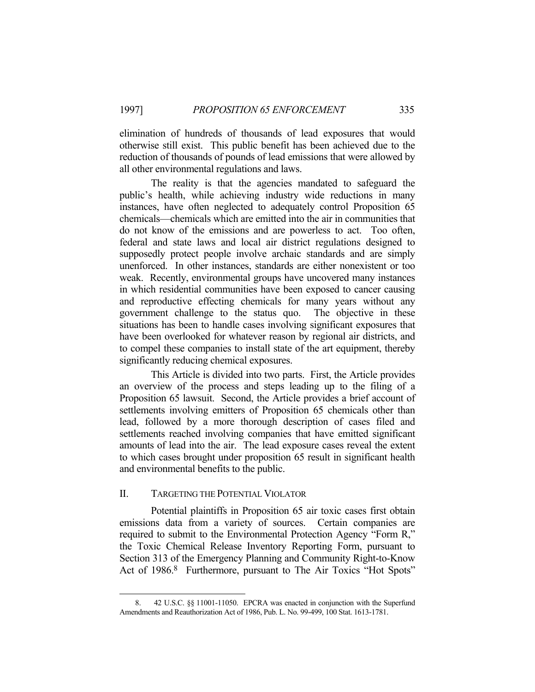elimination of hundreds of thousands of lead exposures that would otherwise still exist. This public benefit has been achieved due to the reduction of thousands of pounds of lead emissions that were allowed by all other environmental regulations and laws.

 The reality is that the agencies mandated to safeguard the public's health, while achieving industry wide reductions in many instances, have often neglected to adequately control Proposition 65 chemicals—chemicals which are emitted into the air in communities that do not know of the emissions and are powerless to act. Too often, federal and state laws and local air district regulations designed to supposedly protect people involve archaic standards and are simply unenforced. In other instances, standards are either nonexistent or too weak. Recently, environmental groups have uncovered many instances in which residential communities have been exposed to cancer causing and reproductive effecting chemicals for many years without any government challenge to the status quo. The objective in these situations has been to handle cases involving significant exposures that have been overlooked for whatever reason by regional air districts, and to compel these companies to install state of the art equipment, thereby significantly reducing chemical exposures.

 This Article is divided into two parts. First, the Article provides an overview of the process and steps leading up to the filing of a Proposition 65 lawsuit. Second, the Article provides a brief account of settlements involving emitters of Proposition 65 chemicals other than lead, followed by a more thorough description of cases filed and settlements reached involving companies that have emitted significant amounts of lead into the air. The lead exposure cases reveal the extent to which cases brought under proposition 65 result in significant health and environmental benefits to the public.

#### II. TARGETING THE POTENTIAL VIOLATOR

<u>.</u>

 Potential plaintiffs in Proposition 65 air toxic cases first obtain emissions data from a variety of sources. Certain companies are required to submit to the Environmental Protection Agency "Form R," the Toxic Chemical Release Inventory Reporting Form, pursuant to Section 313 of the Emergency Planning and Community Right-to-Know Act of 1986.8 Furthermore, pursuant to The Air Toxics "Hot Spots"

 <sup>8. 42</sup> U.S.C. §§ 11001-11050. EPCRA was enacted in conjunction with the Superfund Amendments and Reauthorization Act of 1986, Pub. L. No. 99-499, 100 Stat. 1613-1781.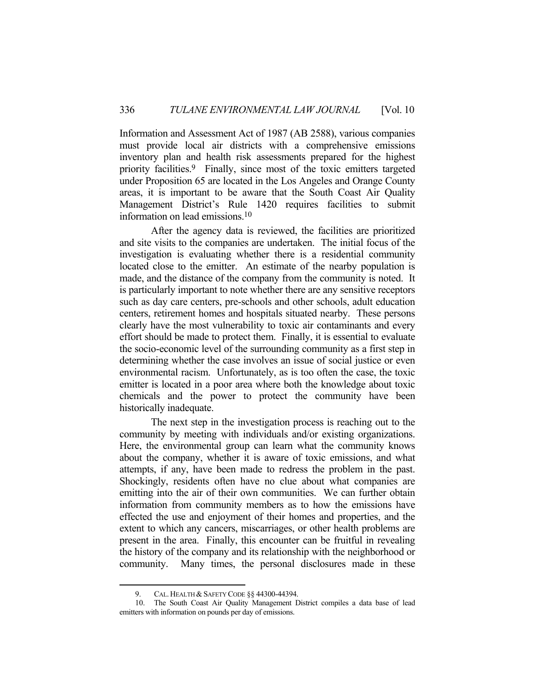Information and Assessment Act of 1987 (AB 2588), various companies must provide local air districts with a comprehensive emissions inventory plan and health risk assessments prepared for the highest priority facilities.9 Finally, since most of the toxic emitters targeted under Proposition 65 are located in the Los Angeles and Orange County areas, it is important to be aware that the South Coast Air Quality Management District's Rule 1420 requires facilities to submit information on lead emissions.10

 After the agency data is reviewed, the facilities are prioritized and site visits to the companies are undertaken. The initial focus of the investigation is evaluating whether there is a residential community located close to the emitter. An estimate of the nearby population is made, and the distance of the company from the community is noted. It is particularly important to note whether there are any sensitive receptors such as day care centers, pre-schools and other schools, adult education centers, retirement homes and hospitals situated nearby. These persons clearly have the most vulnerability to toxic air contaminants and every effort should be made to protect them. Finally, it is essential to evaluate the socio-economic level of the surrounding community as a first step in determining whether the case involves an issue of social justice or even environmental racism. Unfortunately, as is too often the case, the toxic emitter is located in a poor area where both the knowledge about toxic chemicals and the power to protect the community have been historically inadequate.

 The next step in the investigation process is reaching out to the community by meeting with individuals and/or existing organizations. Here, the environmental group can learn what the community knows about the company, whether it is aware of toxic emissions, and what attempts, if any, have been made to redress the problem in the past. Shockingly, residents often have no clue about what companies are emitting into the air of their own communities. We can further obtain information from community members as to how the emissions have effected the use and enjoyment of their homes and properties, and the extent to which any cancers, miscarriages, or other health problems are present in the area. Finally, this encounter can be fruitful in revealing the history of the company and its relationship with the neighborhood or community. Many times, the personal disclosures made in these

<sup>9.</sup> CAL. HEALTH & SAFETY CODE §§ 44300-44394.

 <sup>10.</sup> The South Coast Air Quality Management District compiles a data base of lead emitters with information on pounds per day of emissions.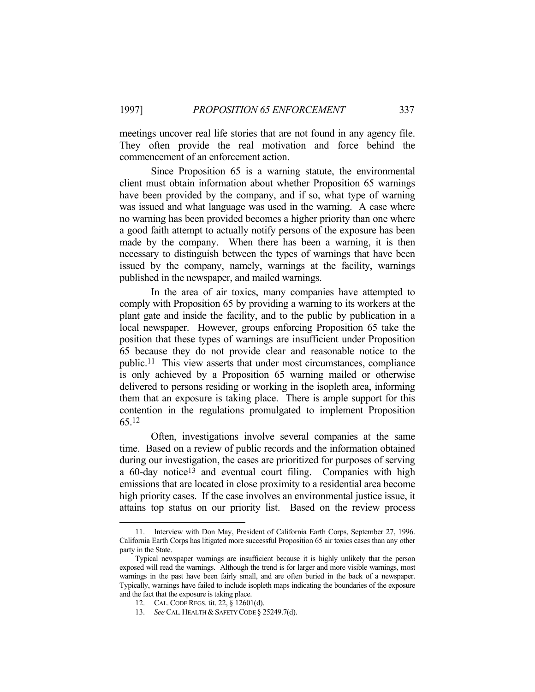meetings uncover real life stories that are not found in any agency file. They often provide the real motivation and force behind the commencement of an enforcement action.

 Since Proposition 65 is a warning statute, the environmental client must obtain information about whether Proposition 65 warnings have been provided by the company, and if so, what type of warning was issued and what language was used in the warning. A case where no warning has been provided becomes a higher priority than one where a good faith attempt to actually notify persons of the exposure has been made by the company. When there has been a warning, it is then necessary to distinguish between the types of warnings that have been issued by the company, namely, warnings at the facility, warnings published in the newspaper, and mailed warnings.

 In the area of air toxics, many companies have attempted to comply with Proposition 65 by providing a warning to its workers at the plant gate and inside the facility, and to the public by publication in a local newspaper. However, groups enforcing Proposition 65 take the position that these types of warnings are insufficient under Proposition 65 because they do not provide clear and reasonable notice to the public.11 This view asserts that under most circumstances, compliance is only achieved by a Proposition 65 warning mailed or otherwise delivered to persons residing or working in the isopleth area, informing them that an exposure is taking place. There is ample support for this contention in the regulations promulgated to implement Proposition 65.12

 Often, investigations involve several companies at the same time. Based on a review of public records and the information obtained during our investigation, the cases are prioritized for purposes of serving a 60-day notice13 and eventual court filing. Companies with high emissions that are located in close proximity to a residential area become high priority cases. If the case involves an environmental justice issue, it attains top status on our priority list. Based on the review process

 <sup>11.</sup> Interview with Don May, President of California Earth Corps, September 27, 1996. California Earth Corps has litigated more successful Proposition 65 air toxics cases than any other party in the State.

Typical newspaper warnings are insufficient because it is highly unlikely that the person exposed will read the warnings. Although the trend is for larger and more visible warnings, most warnings in the past have been fairly small, and are often buried in the back of a newspaper. Typically, warnings have failed to include isopleth maps indicating the boundaries of the exposure and the fact that the exposure is taking place.

 <sup>12.</sup> CAL.CODE REGS. tit. 22, § 12601(d).

<sup>13.</sup> *See CAL. HEALTH & SAFETY CODE § 25249.7(d).*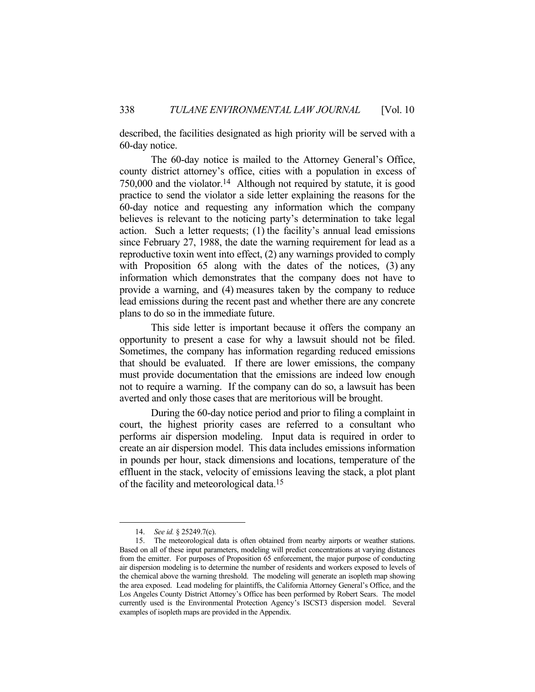described, the facilities designated as high priority will be served with a 60-day notice.

 The 60-day notice is mailed to the Attorney General's Office, county district attorney's office, cities with a population in excess of 750,000 and the violator.14 Although not required by statute, it is good practice to send the violator a side letter explaining the reasons for the 60-day notice and requesting any information which the company believes is relevant to the noticing party's determination to take legal action. Such a letter requests; (1) the facility's annual lead emissions since February 27, 1988, the date the warning requirement for lead as a reproductive toxin went into effect, (2) any warnings provided to comply with Proposition 65 along with the dates of the notices, (3) any information which demonstrates that the company does not have to provide a warning, and (4) measures taken by the company to reduce lead emissions during the recent past and whether there are any concrete plans to do so in the immediate future.

 This side letter is important because it offers the company an opportunity to present a case for why a lawsuit should not be filed. Sometimes, the company has information regarding reduced emissions that should be evaluated. If there are lower emissions, the company must provide documentation that the emissions are indeed low enough not to require a warning. If the company can do so, a lawsuit has been averted and only those cases that are meritorious will be brought.

 During the 60-day notice period and prior to filing a complaint in court, the highest priority cases are referred to a consultant who performs air dispersion modeling. Input data is required in order to create an air dispersion model. This data includes emissions information in pounds per hour, stack dimensions and locations, temperature of the effluent in the stack, velocity of emissions leaving the stack, a plot plant of the facility and meteorological data.15

 <sup>14.</sup> *See id.* § 25249.7(c).

 <sup>15.</sup> The meteorological data is often obtained from nearby airports or weather stations. Based on all of these input parameters, modeling will predict concentrations at varying distances from the emitter. For purposes of Proposition 65 enforcement, the major purpose of conducting air dispersion modeling is to determine the number of residents and workers exposed to levels of the chemical above the warning threshold. The modeling will generate an isopleth map showing the area exposed. Lead modeling for plaintiffs, the California Attorney General's Office, and the Los Angeles County District Attorney's Office has been performed by Robert Sears. The model currently used is the Environmental Protection Agency's ISCST3 dispersion model. Several examples of isopleth maps are provided in the Appendix.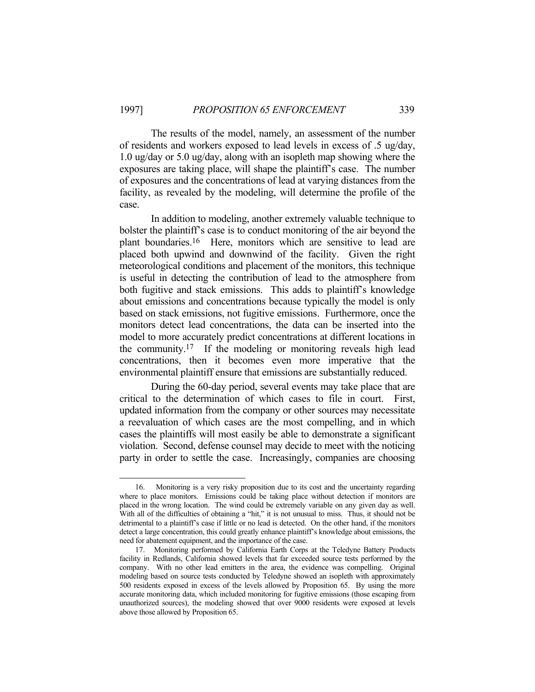The results of the model, namely, an assessment of the number of residents and workers exposed to lead levels in excess of .5 ug/day, 1.0 ug/day or 5.0 ug/day, along with an isopleth map showing where the exposures are taking place, will shape the plaintiff's case. The number of exposures and the concentrations of lead at varying distances from the facility, as revealed by the modeling, will determine the profile of the case.

 In addition to modeling, another extremely valuable technique to bolster the plaintiff's case is to conduct monitoring of the air beyond the plant boundaries.16 Here, monitors which are sensitive to lead are placed both upwind and downwind of the facility. Given the right meteorological conditions and placement of the monitors, this technique is useful in detecting the contribution of lead to the atmosphere from both fugitive and stack emissions. This adds to plaintiff's knowledge about emissions and concentrations because typically the model is only based on stack emissions, not fugitive emissions. Furthermore, once the monitors detect lead concentrations, the data can be inserted into the model to more accurately predict concentrations at different locations in the community.17 If the modeling or monitoring reveals high lead concentrations, then it becomes even more imperative that the environmental plaintiff ensure that emissions are substantially reduced.

 During the 60-day period, several events may take place that are critical to the determination of which cases to file in court. First, updated information from the company or other sources may necessitate a reevaluation of which cases are the most compelling, and in which cases the plaintiffs will most easily be able to demonstrate a significant violation. Second, defense counsel may decide to meet with the noticing party in order to settle the case. Increasingly, companies are choosing

 <sup>16.</sup> Monitoring is a very risky proposition due to its cost and the uncertainty regarding where to place monitors. Emissions could be taking place without detection if monitors are placed in the wrong location. The wind could be extremely variable on any given day as well. With all of the difficulties of obtaining a "hit," it is not unusual to miss. Thus, it should not be detrimental to a plaintiff's case if little or no lead is detected. On the other hand, if the monitors detect a large concentration, this could greatly enhance plaintiff's knowledge about emissions, the need for abatement equipment, and the importance of the case.

 <sup>17.</sup> Monitoring performed by California Earth Corps at the Teledyne Battery Products facility in Redlands, California showed levels that far exceeded source tests performed by the company. With no other lead emitters in the area, the evidence was compelling. Original modeling based on source tests conducted by Teledyne showed an isopleth with approximately 500 residents exposed in excess of the levels allowed by Proposition 65. By using the more accurate monitoring data, which included monitoring for fugitive emissions (those escaping from unauthorized sources), the modeling showed that over 9000 residents were exposed at levels above those allowed by Proposition 65.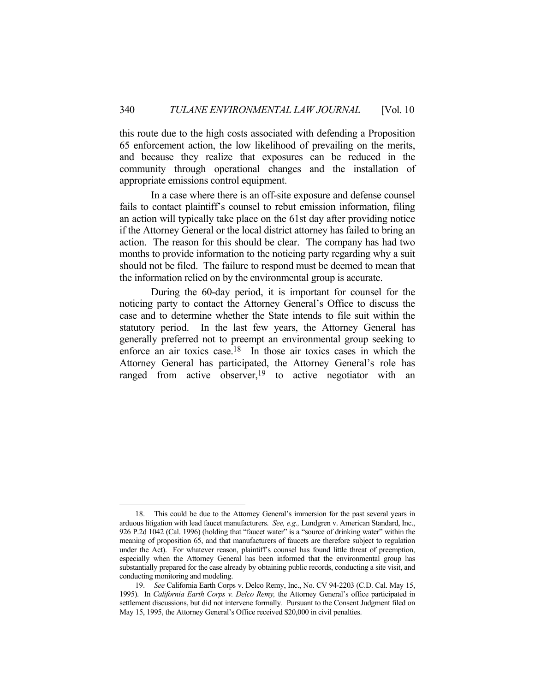this route due to the high costs associated with defending a Proposition 65 enforcement action, the low likelihood of prevailing on the merits, and because they realize that exposures can be reduced in the community through operational changes and the installation of appropriate emissions control equipment.

 In a case where there is an off-site exposure and defense counsel fails to contact plaintiff's counsel to rebut emission information, filing an action will typically take place on the 61st day after providing notice if the Attorney General or the local district attorney has failed to bring an action. The reason for this should be clear. The company has had two months to provide information to the noticing party regarding why a suit should not be filed. The failure to respond must be deemed to mean that the information relied on by the environmental group is accurate.

 During the 60-day period, it is important for counsel for the noticing party to contact the Attorney General's Office to discuss the case and to determine whether the State intends to file suit within the statutory period. In the last few years, the Attorney General has generally preferred not to preempt an environmental group seeking to enforce an air toxics case.18 In those air toxics cases in which the Attorney General has participated, the Attorney General's role has ranged from active observer,<sup>19</sup> to active negotiator with an

<sup>&</sup>lt;u>.</u> 18. This could be due to the Attorney General's immersion for the past several years in arduous litigation with lead faucet manufacturers. *See, e.g.,* Lundgren v. American Standard, Inc., 926 P.2d 1042 (Cal. 1996) (holding that "faucet water" is a "source of drinking water" within the meaning of proposition 65, and that manufacturers of faucets are therefore subject to regulation under the Act). For whatever reason, plaintiff's counsel has found little threat of preemption, especially when the Attorney General has been informed that the environmental group has substantially prepared for the case already by obtaining public records, conducting a site visit, and conducting monitoring and modeling.

 <sup>19.</sup> *See* California Earth Corps v. Delco Remy, Inc., No. CV 94-2203 (C.D. Cal. May 15, 1995). In *California Earth Corps v. Delco Remy,* the Attorney General's office participated in settlement discussions, but did not intervene formally. Pursuant to the Consent Judgment filed on May 15, 1995, the Attorney General's Office received \$20,000 in civil penalties.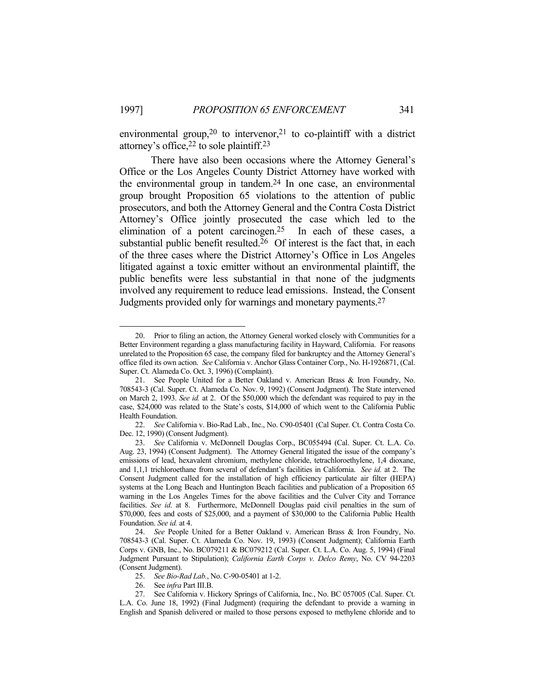environmental group,<sup>20</sup> to intervenor,<sup>21</sup> to co-plaintiff with a district attorney's office,  $22$  to sole plaintiff.  $23$ 

 There have also been occasions where the Attorney General's Office or the Los Angeles County District Attorney have worked with the environmental group in tandem.24 In one case, an environmental group brought Proposition 65 violations to the attention of public prosecutors, and both the Attorney General and the Contra Costa District Attorney's Office jointly prosecuted the case which led to the elimination of a potent carcinogen.25 In each of these cases, a substantial public benefit resulted.<sup>26</sup> Of interest is the fact that, in each of the three cases where the District Attorney's Office in Los Angeles litigated against a toxic emitter without an environmental plaintiff, the public benefits were less substantial in that none of the judgments involved any requirement to reduce lead emissions. Instead, the Consent Judgments provided only for warnings and monetary payments.27

 <sup>20.</sup> Prior to filing an action, the Attorney General worked closely with Communities for a Better Environment regarding a glass manufacturing facility in Hayward, California. For reasons unrelated to the Proposition 65 case, the company filed for bankruptcy and the Attorney General's office filed its own action. *See* California v. Anchor Glass Container Corp., No. H-1926871, (Cal. Super. Ct. Alameda Co. Oct. 3, 1996) (Complaint).

 <sup>21.</sup> See People United for a Better Oakland v. American Brass & Iron Foundry, No. 708543-3 (Cal. Super. Ct. Alameda Co. Nov. 9, 1992) (Consent Judgment). The State intervened on March 2, 1993. *See id.* at 2. Of the \$50,000 which the defendant was required to pay in the case, \$24,000 was related to the State's costs, \$14,000 of which went to the California Public Health Foundation.

 <sup>22.</sup> *See* California v. Bio-Rad Lab., Inc., No. C90-05401 (Cal Super. Ct. Contra Costa Co. Dec. 12, 1990) (Consent Judgment).

 <sup>23.</sup> *See* California v. McDonnell Douglas Corp., BC055494 (Cal. Super. Ct. L.A. Co. Aug. 23, 1994) (Consent Judgment). The Attorney General litigated the issue of the company's emissions of lead, hexavalent chromium, methylene chloride, tetrachloroethylene, 1,4 dioxane, and 1,1,1 trichloroethane from several of defendant's facilities in California. *See id.* at 2. The Consent Judgment called for the installation of high efficiency particulate air filter (HEPA) systems at the Long Beach and Huntington Beach facilities and publication of a Proposition 65 warning in the Los Angeles Times for the above facilities and the Culver City and Torrance facilities. *See id*. at 8. Furthermore, McDonnell Douglas paid civil penalties in the sum of \$70,000, fees and costs of \$25,000, and a payment of \$30,000 to the California Public Health Foundation. *See id.* at 4.

 <sup>24.</sup> *See* People United for a Better Oakland v. American Brass & Iron Foundry, No. 708543-3 (Cal. Super. Ct. Alameda Co. Nov. 19, 1993) (Consent Judgment); California Earth Corps v. GNB, Inc., No. BC079211 & BC079212 (Cal. Super. Ct. L.A. Co. Aug. 5, 1994) (Final Judgment Pursuant to Stipulation); *California Earth Corps v. Delco Remy*, No. CV 94-2203 (Consent Judgment).

 <sup>25.</sup> *See Bio-Rad Lab.*, No. C-90-05401 at 1-2.

 <sup>26.</sup> See *infra* Part III.B.

 <sup>27.</sup> See California v. Hickory Springs of California, Inc*.*, No. BC 057005 (Cal. Super. Ct. L.A. Co. June 18, 1992) (Final Judgment) (requiring the defendant to provide a warning in English and Spanish delivered or mailed to those persons exposed to methylene chloride and to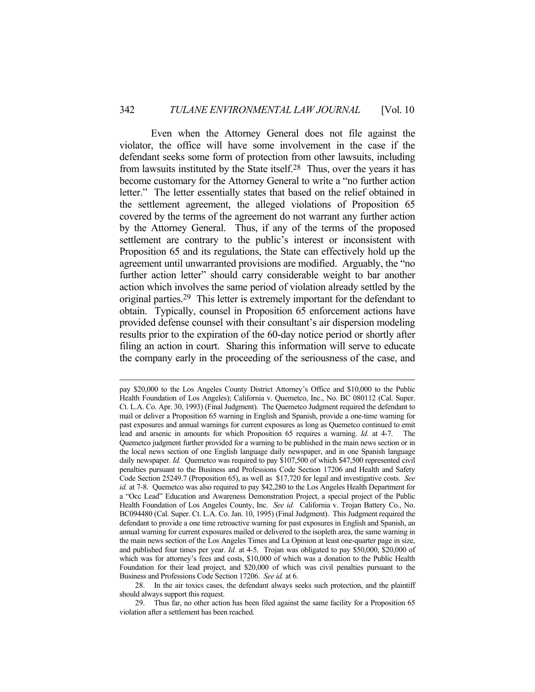Even when the Attorney General does not file against the violator, the office will have some involvement in the case if the defendant seeks some form of protection from other lawsuits, including from lawsuits instituted by the State itself.28 Thus, over the years it has become customary for the Attorney General to write a "no further action letter." The letter essentially states that based on the relief obtained in the settlement agreement, the alleged violations of Proposition 65 covered by the terms of the agreement do not warrant any further action by the Attorney General. Thus, if any of the terms of the proposed settlement are contrary to the public's interest or inconsistent with Proposition 65 and its regulations, the State can effectively hold up the agreement until unwarranted provisions are modified. Arguably, the "no further action letter" should carry considerable weight to bar another action which involves the same period of violation already settled by the original parties.29 This letter is extremely important for the defendant to obtain. Typically, counsel in Proposition 65 enforcement actions have provided defense counsel with their consultant's air dispersion modeling results prior to the expiration of the 60-day notice period or shortly after filing an action in court. Sharing this information will serve to educate the company early in the proceeding of the seriousness of the case, and

pay \$20,000 to the Los Angeles County District Attorney's Office and \$10,000 to the Public Health Foundation of Los Angeles); California v. Quemetco, Inc., No. BC 080112 (Cal. Super. Ct. L.A. Co. Apr. 30, 1993) (Final Judgment). The Quemetco Judgment required the defendant to mail or deliver a Proposition 65 warning in English and Spanish, provide a one-time warning for past exposures and annual warnings for current exposures as long as Quemetco continued to emit lead and arsenic in amounts for which Proposition 65 requires a warning. *Id.* at 4-7. The Quemetco judgment further provided for a warning to be published in the main news section or in the local news section of one English language daily newspaper, and in one Spanish language daily newspaper. *Id.* Quemetco was required to pay \$107,500 of which \$47,500 represented civil penalties pursuant to the Business and Professions Code Section 17206 and Health and Safety Code Section 25249.7 (Proposition 65), as well as \$17,720 for legal and investigative costs. *See id.* at 7-8. Quemetco was also required to pay \$42,280 to the Los Angeles Health Department for a "Occ Lead" Education and Awareness Demonstration Project, a special project of the Public Health Foundation of Los Angeles County, Inc. *See id.* California v. Trojan Battery Co., No. BC094480 (Cal. Super. Ct. L.A. Co. Jan. 10, 1995) (Final Judgment). This Judgment required the defendant to provide a one time retroactive warning for past exposures in English and Spanish, an annual warning for current exposures mailed or delivered to the isopleth area, the same warning in the main news section of the Los Angeles Times and La Opinion at least one-quarter page in size, and published four times per year. *Id.* at 4-5. Trojan was obligated to pay \$50,000, \$20,000 of which was for attorney's fees and costs, \$10,000 of which was a donation to the Public Health Foundation for their lead project, and \$20,000 of which was civil penalties pursuant to the Business and Professions Code Section 17206. *See id.* at 6.

 <sup>28.</sup> In the air toxics cases, the defendant always seeks such protection, and the plaintiff should always support this request.

 <sup>29.</sup> Thus far, no other action has been filed against the same facility for a Proposition 65 violation after a settlement has been reached.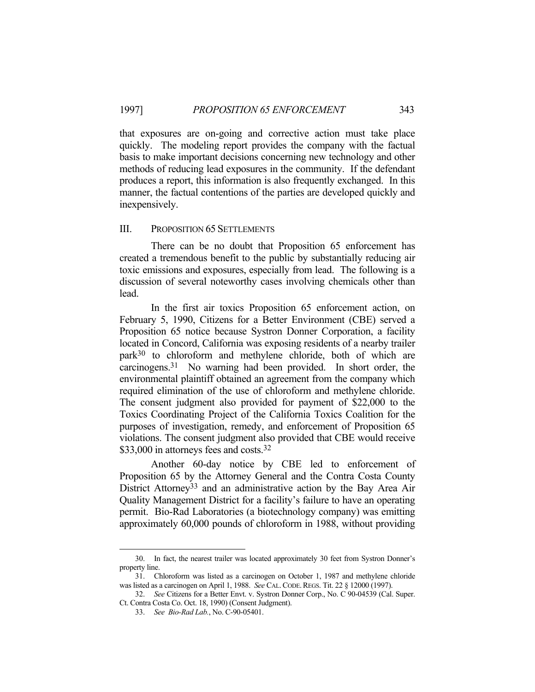that exposures are on-going and corrective action must take place quickly. The modeling report provides the company with the factual basis to make important decisions concerning new technology and other methods of reducing lead exposures in the community. If the defendant produces a report, this information is also frequently exchanged. In this manner, the factual contentions of the parties are developed quickly and inexpensively.

#### III. PROPOSITION 65 SETTLEMENTS

 There can be no doubt that Proposition 65 enforcement has created a tremendous benefit to the public by substantially reducing air toxic emissions and exposures, especially from lead. The following is a discussion of several noteworthy cases involving chemicals other than lead.

 In the first air toxics Proposition 65 enforcement action, on February 5, 1990, Citizens for a Better Environment (CBE) served a Proposition 65 notice because Systron Donner Corporation, a facility located in Concord, California was exposing residents of a nearby trailer park30 to chloroform and methylene chloride, both of which are carcinogens.31 No warning had been provided. In short order, the environmental plaintiff obtained an agreement from the company which required elimination of the use of chloroform and methylene chloride. The consent judgment also provided for payment of \$22,000 to the Toxics Coordinating Project of the California Toxics Coalition for the purposes of investigation, remedy, and enforcement of Proposition 65 violations. The consent judgment also provided that CBE would receive \$33,000 in attorneys fees and costs.<sup>32</sup>

 Another 60-day notice by CBE led to enforcement of Proposition 65 by the Attorney General and the Contra Costa County District Attorney<sup>33</sup> and an administrative action by the Bay Area Air Quality Management District for a facility's failure to have an operating permit. Bio-Rad Laboratories (a biotechnology company) was emitting approximately 60,000 pounds of chloroform in 1988, without providing

 <sup>30.</sup> In fact, the nearest trailer was located approximately 30 feet from Systron Donner's property line.

 <sup>31.</sup> Chloroform was listed as a carcinogen on October 1, 1987 and methylene chloride was listed as a carcinogen on April 1, 1988. *See* CAL.CODE.REGS. Tit. 22 § 12000 (1997).

 <sup>32.</sup> *See* Citizens for a Better Envt. v. Systron Donner Corp., No. C 90-04539 (Cal. Super. Ct. Contra Costa Co. Oct. 18, 1990) (Consent Judgment).

 <sup>33.</sup> *See Bio-Rad Lab.*, No. C-90-05401.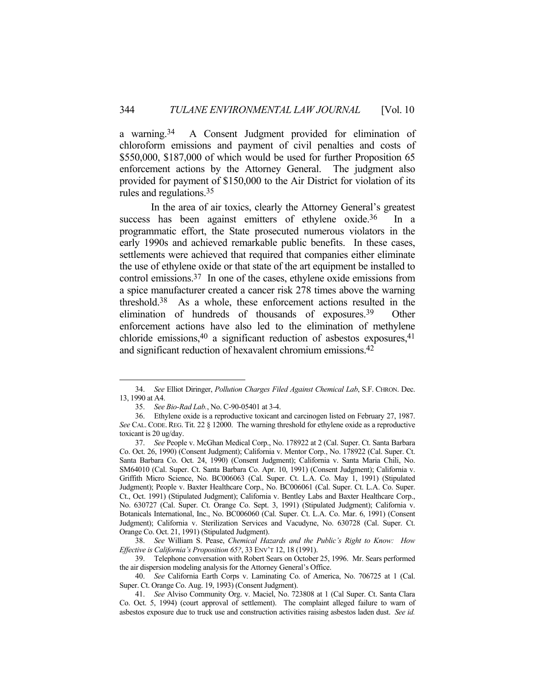a warning.34 A Consent Judgment provided for elimination of chloroform emissions and payment of civil penalties and costs of \$550,000, \$187,000 of which would be used for further Proposition 65 enforcement actions by the Attorney General. The judgment also provided for payment of \$150,000 to the Air District for violation of its rules and regulations.35

 In the area of air toxics, clearly the Attorney General's greatest success has been against emitters of ethylene oxide.<sup>36</sup> In a programmatic effort, the State prosecuted numerous violators in the early 1990s and achieved remarkable public benefits. In these cases, settlements were achieved that required that companies either eliminate the use of ethylene oxide or that state of the art equipment be installed to control emissions.37 In one of the cases, ethylene oxide emissions from a spice manufacturer created a cancer risk 278 times above the warning threshold.38 As a whole, these enforcement actions resulted in the elimination of hundreds of thousands of exposures.39 Other enforcement actions have also led to the elimination of methylene chloride emissions,  $40$  a significant reduction of asbestos exposures,  $41$ and significant reduction of hexavalent chromium emissions.42

 <sup>34.</sup> *See* Elliot Diringer, *Pollution Charges Filed Against Chemical Lab*, S.F. CHRON. Dec. 13, 1990 at A4.

 <sup>35.</sup> *See Bio-Rad Lab.*, No. C-90-05401 at 3-4.

 <sup>36.</sup> Ethylene oxide is a reproductive toxicant and carcinogen listed on February 27, 1987. *See* CAL. CODE. REG. Tit. 22 § 12000. The warning threshold for ethylene oxide as a reproductive toxicant is 20 ug/day.

 <sup>37.</sup> *See* People v. McGhan Medical Corp., No. 178922 at 2 (Cal. Super. Ct. Santa Barbara Co. Oct. 26, 1990) (Consent Judgment); California v. Mentor Corp., No. 178922 (Cal. Super. Ct. Santa Barbara Co. Oct. 24, 1990) (Consent Judgment); California v. Santa Maria Chili, No. SM64010 (Cal. Super. Ct. Santa Barbara Co. Apr. 10, 1991) (Consent Judgment); California v. Griffith Micro Science, No. BC006063 (Cal. Super. Ct. L.A. Co. May 1, 1991) (Stipulated Judgment); People v. Baxter Healthcare Corp., No. BC006061 (Cal. Super. Ct. L.A. Co. Super. Ct., Oct. 1991) (Stipulated Judgment); California v. Bentley Labs and Baxter Healthcare Corp., No. 630727 (Cal. Super. Ct. Orange Co. Sept. 3, 1991) (Stipulated Judgment); California v. Botanicals International, Inc., No. BC006060 (Cal. Super. Ct. L.A. Co. Mar. 6, 1991) (Consent Judgment); California v. Sterilization Services and Vacudyne, No. 630728 (Cal. Super. Ct. Orange Co. Oct. 21, 1991) (Stipulated Judgment).

 <sup>38.</sup> *See* William S. Pease, *Chemical Hazards and the Public's Right to Know: How Effective is California's Proposition 65?*, 33 ENV'T 12, 18 (1991).

 <sup>39.</sup> Telephone conversation with Robert Sears on October 25, 1996. Mr. Sears performed the air dispersion modeling analysis for the Attorney General's Office.

 <sup>40.</sup> *See* California Earth Corps v. Laminating Co. of America, No. 706725 at 1 (Cal. Super. Ct. Orange Co. Aug. 19, 1993) (Consent Judgment).

 <sup>41.</sup> *See* Alviso Community Org. v. Maciel, No. 723808 at 1 (Cal Super. Ct. Santa Clara Co. Oct. 5, 1994) (court approval of settlement). The complaint alleged failure to warn of asbestos exposure due to truck use and construction activities raising asbestos laden dust. *See id.*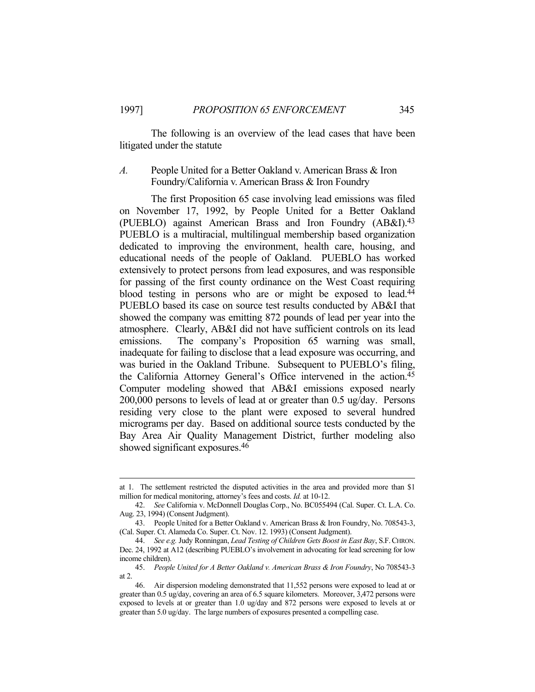The following is an overview of the lead cases that have been litigated under the statute

## *A.* People United for a Better Oakland v. American Brass & Iron Foundry/California v. American Brass & Iron Foundry

 The first Proposition 65 case involving lead emissions was filed on November 17, 1992, by People United for a Better Oakland (PUEBLO) against American Brass and Iron Foundry (AB&I).43 PUEBLO is a multiracial, multilingual membership based organization dedicated to improving the environment, health care, housing, and educational needs of the people of Oakland. PUEBLO has worked extensively to protect persons from lead exposures, and was responsible for passing of the first county ordinance on the West Coast requiring blood testing in persons who are or might be exposed to lead.<sup>44</sup> PUEBLO based its case on source test results conducted by AB&I that showed the company was emitting 872 pounds of lead per year into the atmosphere. Clearly, AB&I did not have sufficient controls on its lead emissions. The company's Proposition 65 warning was small, inadequate for failing to disclose that a lead exposure was occurring, and was buried in the Oakland Tribune. Subsequent to PUEBLO's filing, the California Attorney General's Office intervened in the action.45 Computer modeling showed that AB&I emissions exposed nearly 200,000 persons to levels of lead at or greater than 0.5 ug/day. Persons residing very close to the plant were exposed to several hundred micrograms per day. Based on additional source tests conducted by the Bay Area Air Quality Management District, further modeling also showed significant exposures.46

at 1. The settlement restricted the disputed activities in the area and provided more than \$1 million for medical monitoring, attorney's fees and costs. *Id.* at 10-12.

 <sup>42.</sup> *See* California v. McDonnell Douglas Corp., No. BC055494 (Cal. Super. Ct. L.A. Co. Aug. 23, 1994) (Consent Judgment).

 <sup>43.</sup> People United for a Better Oakland v. American Brass & Iron Foundry, No. 708543-3, (Cal. Super. Ct. Alameda Co. Super. Ct. Nov. 12. 1993) (Consent Judgment).

 <sup>44.</sup> *See e.g.* Judy Ronningan, *Lead Testing of Children Gets Boost in East Bay*, S.F.CHRON. Dec. 24, 1992 at A12 (describing PUEBLO's involvement in advocating for lead screening for low income children).

 <sup>45.</sup> *People United for A Better Oakland v. American Brass & Iron Foundry*, No 708543-3 at 2.

 <sup>46.</sup> Air dispersion modeling demonstrated that 11,552 persons were exposed to lead at or greater than 0.5 ug/day, covering an area of 6.5 square kilometers. Moreover, 3,472 persons were exposed to levels at or greater than 1.0 ug/day and 872 persons were exposed to levels at or greater than 5.0 ug/day. The large numbers of exposures presented a compelling case.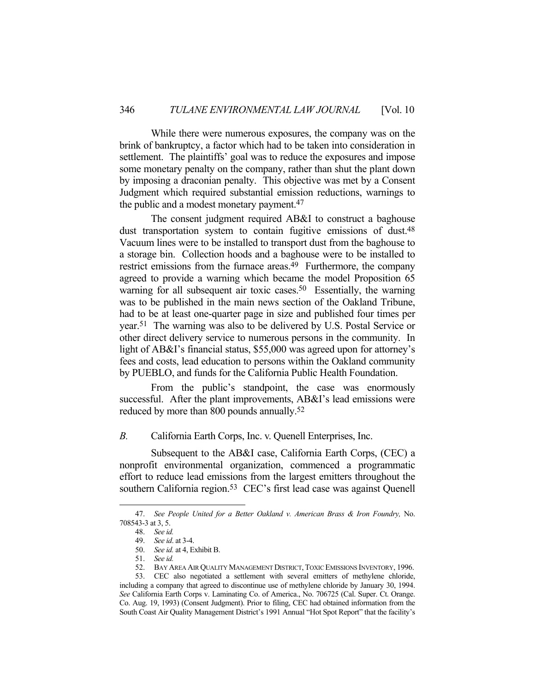While there were numerous exposures, the company was on the brink of bankruptcy, a factor which had to be taken into consideration in settlement. The plaintiffs' goal was to reduce the exposures and impose some monetary penalty on the company, rather than shut the plant down by imposing a draconian penalty. This objective was met by a Consent Judgment which required substantial emission reductions, warnings to the public and a modest monetary payment.<sup>47</sup>

 The consent judgment required AB&I to construct a baghouse dust transportation system to contain fugitive emissions of dust.<sup>48</sup> Vacuum lines were to be installed to transport dust from the baghouse to a storage bin. Collection hoods and a baghouse were to be installed to restrict emissions from the furnace areas.<sup>49</sup> Furthermore, the company agreed to provide a warning which became the model Proposition 65 warning for all subsequent air toxic cases.<sup>50</sup> Essentially, the warning was to be published in the main news section of the Oakland Tribune, had to be at least one-quarter page in size and published four times per year.51 The warning was also to be delivered by U.S. Postal Service or other direct delivery service to numerous persons in the community. In light of AB&I's financial status, \$55,000 was agreed upon for attorney's fees and costs, lead education to persons within the Oakland community by PUEBLO, and funds for the California Public Health Foundation.

 From the public's standpoint, the case was enormously successful. After the plant improvements, AB&I's lead emissions were reduced by more than 800 pounds annually.52

*B.* California Earth Corps, Inc. v. Quenell Enterprises, Inc.

 Subsequent to the AB&I case, California Earth Corps, (CEC) a nonprofit environmental organization, commenced a programmatic effort to reduce lead emissions from the largest emitters throughout the southern California region.<sup>53</sup> CEC's first lead case was against Quenell

 <sup>47.</sup> *See People United for a Better Oakland v. American Brass & Iron Foundry,* No. 708543-3 at 3, 5.

 <sup>48.</sup> *See id.*

 <sup>49.</sup> *See id*. at 3-4.

 <sup>50.</sup> *See id.* at 4, Exhibit B.

 <sup>51.</sup> *See id.*

 <sup>52.</sup> BAY AREA AIR QUALITY MANAGEMENT DISTRICT, TOXIC EMISSIONS INVENTORY, 1996.

 <sup>53.</sup> CEC also negotiated a settlement with several emitters of methylene chloride, including a company that agreed to discontinue use of methylene chloride by January 30, 1994. *See* California Earth Corps v. Laminating Co. of America., No. 706725 (Cal. Super. Ct. Orange. Co. Aug. 19, 1993) (Consent Judgment). Prior to filing, CEC had obtained information from the South Coast Air Quality Management District's 1991 Annual "Hot Spot Report" that the facility's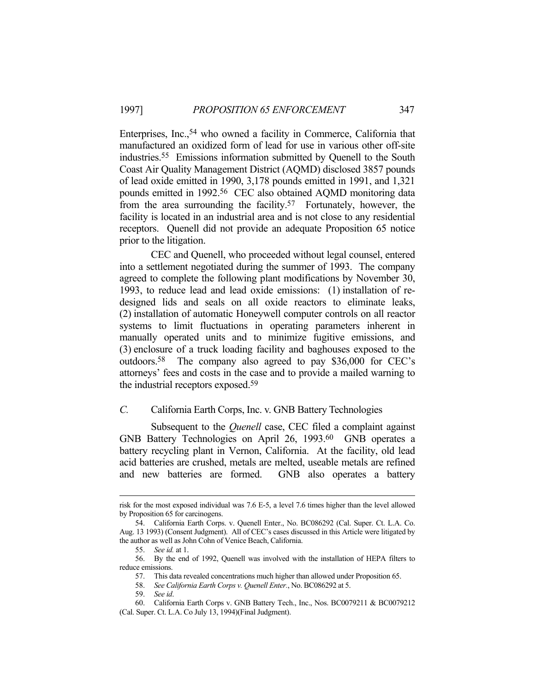Enterprises, Inc.,54 who owned a facility in Commerce, California that manufactured an oxidized form of lead for use in various other off-site industries.55 Emissions information submitted by Quenell to the South Coast Air Quality Management District (AQMD) disclosed 3857 pounds of lead oxide emitted in 1990, 3,178 pounds emitted in 1991, and 1,321 pounds emitted in 1992.56 CEC also obtained AQMD monitoring data from the area surrounding the facility.57 Fortunately, however, the facility is located in an industrial area and is not close to any residential receptors. Quenell did not provide an adequate Proposition 65 notice prior to the litigation.

 CEC and Quenell, who proceeded without legal counsel, entered into a settlement negotiated during the summer of 1993. The company agreed to complete the following plant modifications by November 30, 1993, to reduce lead and lead oxide emissions: (1) installation of redesigned lids and seals on all oxide reactors to eliminate leaks, (2) installation of automatic Honeywell computer controls on all reactor systems to limit fluctuations in operating parameters inherent in manually operated units and to minimize fugitive emissions, and (3) enclosure of a truck loading facility and baghouses exposed to the outdoors.58 The company also agreed to pay \$36,000 for CEC's attorneys' fees and costs in the case and to provide a mailed warning to the industrial receptors exposed.59

## *C.* California Earth Corps, Inc. v. GNB Battery Technologies

 Subsequent to the *Quenell* case, CEC filed a complaint against GNB Battery Technologies on April 26, 1993.<sup>60</sup> GNB operates a battery recycling plant in Vernon, California. At the facility, old lead acid batteries are crushed, metals are melted, useable metals are refined and new batteries are formed. GNB also operates a battery

risk for the most exposed individual was 7.6 E-5, a level 7.6 times higher than the level allowed by Proposition 65 for carcinogens.

 <sup>54.</sup> California Earth Corps. v. Quenell Enter., No. BC086292 (Cal. Super. Ct. L.A. Co. Aug. 13 1993) (Consent Judgment). All of CEC's cases discussed in this Article were litigated by the author as well as John Cohn of Venice Beach, California.

 <sup>55.</sup> *See id.* at 1.

 <sup>56.</sup> By the end of 1992, Quenell was involved with the installation of HEPA filters to reduce emissions.

 <sup>57.</sup> This data revealed concentrations much higher than allowed under Proposition 65.

 <sup>58.</sup> *See California Earth Corps v. Quenell Enter.*, No. BC086292 at 5.

 <sup>59.</sup> *See id*.

 <sup>60.</sup> California Earth Corps v. GNB Battery Tech., Inc., Nos. BC0079211 & BC0079212 (Cal. Super. Ct. L.A. Co July 13, 1994)(Final Judgment).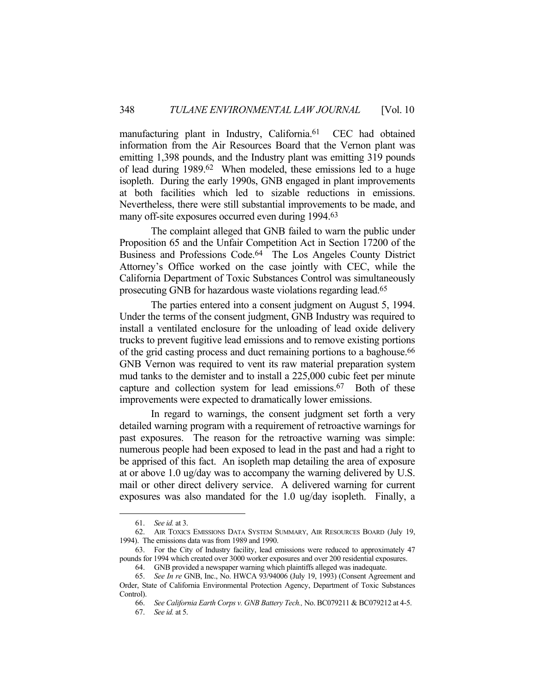manufacturing plant in Industry, California.<sup>61</sup> CEC had obtained information from the Air Resources Board that the Vernon plant was emitting 1,398 pounds, and the Industry plant was emitting 319 pounds of lead during 1989.62 When modeled, these emissions led to a huge isopleth. During the early 1990s, GNB engaged in plant improvements at both facilities which led to sizable reductions in emissions. Nevertheless, there were still substantial improvements to be made, and many off-site exposures occurred even during 1994.<sup>63</sup>

 The complaint alleged that GNB failed to warn the public under Proposition 65 and the Unfair Competition Act in Section 17200 of the Business and Professions Code.64 The Los Angeles County District Attorney's Office worked on the case jointly with CEC, while the California Department of Toxic Substances Control was simultaneously prosecuting GNB for hazardous waste violations regarding lead.65

 The parties entered into a consent judgment on August 5, 1994. Under the terms of the consent judgment, GNB Industry was required to install a ventilated enclosure for the unloading of lead oxide delivery trucks to prevent fugitive lead emissions and to remove existing portions of the grid casting process and duct remaining portions to a baghouse.<sup>66</sup> GNB Vernon was required to vent its raw material preparation system mud tanks to the demister and to install a 225,000 cubic feet per minute capture and collection system for lead emissions.67 Both of these improvements were expected to dramatically lower emissions.

 In regard to warnings, the consent judgment set forth a very detailed warning program with a requirement of retroactive warnings for past exposures. The reason for the retroactive warning was simple: numerous people had been exposed to lead in the past and had a right to be apprised of this fact. An isopleth map detailing the area of exposure at or above 1.0 ug/day was to accompany the warning delivered by U.S. mail or other direct delivery service. A delivered warning for current exposures was also mandated for the 1.0 ug/day isopleth. Finally, a

 <sup>61.</sup> *See id.* at 3.

 <sup>62.</sup> AIR TOXICS EMISSIONS DATA SYSTEM SUMMARY, AIR RESOURCES BOARD (July 19, 1994). The emissions data was from 1989 and 1990.

 <sup>63.</sup> For the City of Industry facility, lead emissions were reduced to approximately 47 pounds for 1994 which created over 3000 worker exposures and over 200 residential exposures.

 <sup>64.</sup> GNB provided a newspaper warning which plaintiffs alleged was inadequate.

 <sup>65.</sup> *See In re* GNB, Inc., No. HWCA 93/94006 (July 19, 1993) (Consent Agreement and Order, State of California Environmental Protection Agency, Department of Toxic Substances Control).

 <sup>66.</sup> *See California Earth Corps v. GNB Battery Tech.,* No. BC079211 & BC079212 at 4-5.

 <sup>67.</sup> *See id.* at 5.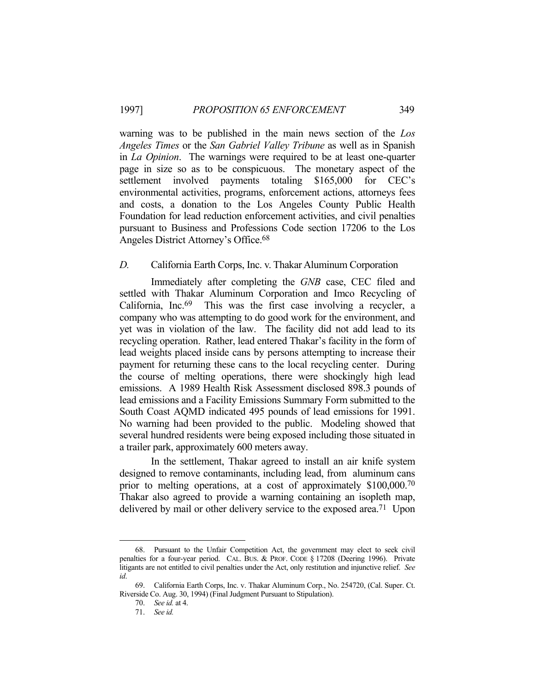warning was to be published in the main news section of the *Los Angeles Times* or the *San Gabriel Valley Tribune* as well as in Spanish in *La Opinion*. The warnings were required to be at least one-quarter page in size so as to be conspicuous. The monetary aspect of the settlement involved payments totaling \$165,000 for CEC's environmental activities, programs, enforcement actions, attorneys fees and costs, a donation to the Los Angeles County Public Health Foundation for lead reduction enforcement activities, and civil penalties pursuant to Business and Professions Code section 17206 to the Los Angeles District Attorney's Office.68

#### *D.* California Earth Corps, Inc. v. Thakar Aluminum Corporation

 Immediately after completing the *GNB* case, CEC filed and settled with Thakar Aluminum Corporation and Imco Recycling of California, Inc.69 This was the first case involving a recycler, a company who was attempting to do good work for the environment, and yet was in violation of the law. The facility did not add lead to its recycling operation. Rather, lead entered Thakar's facility in the form of lead weights placed inside cans by persons attempting to increase their payment for returning these cans to the local recycling center. During the course of melting operations, there were shockingly high lead emissions. A 1989 Health Risk Assessment disclosed 898.3 pounds of lead emissions and a Facility Emissions Summary Form submitted to the South Coast AQMD indicated 495 pounds of lead emissions for 1991. No warning had been provided to the public. Modeling showed that several hundred residents were being exposed including those situated in a trailer park, approximately 600 meters away.

 In the settlement, Thakar agreed to install an air knife system designed to remove contaminants, including lead, from aluminum cans prior to melting operations, at a cost of approximately \$100,000.70 Thakar also agreed to provide a warning containing an isopleth map, delivered by mail or other delivery service to the exposed area.<sup>71</sup> Upon

 <sup>68.</sup> Pursuant to the Unfair Competition Act, the government may elect to seek civil penalties for a four-year period. CAL. BUS. & PROF. CODE § 17208 (Deering 1996). Private litigants are not entitled to civil penalties under the Act, only restitution and injunctive relief. *See id*.

 <sup>69.</sup> California Earth Corps, Inc. v. Thakar Aluminum Corp., No. 254720, (Cal. Super. Ct. Riverside Co. Aug. 30, 1994) (Final Judgment Pursuant to Stipulation).

 <sup>70.</sup> *See id.* at 4.

 <sup>71.</sup> *See id.*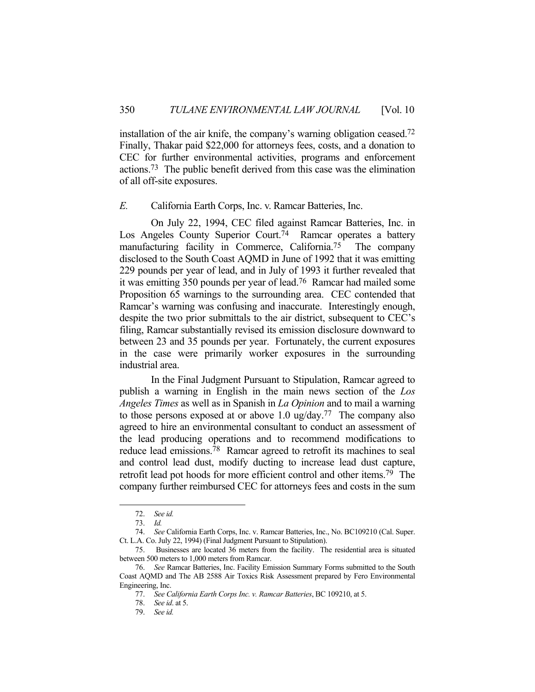installation of the air knife, the company's warning obligation ceased.72 Finally, Thakar paid \$22,000 for attorneys fees, costs, and a donation to CEC for further environmental activities, programs and enforcement actions.73 The public benefit derived from this case was the elimination of all off-site exposures.

#### *E.* California Earth Corps, Inc. v. Ramcar Batteries, Inc.

 On July 22, 1994, CEC filed against Ramcar Batteries, Inc. in Los Angeles County Superior Court.<sup>74</sup> Ramcar operates a battery manufacturing facility in Commerce, California.75 The company disclosed to the South Coast AQMD in June of 1992 that it was emitting 229 pounds per year of lead, and in July of 1993 it further revealed that it was emitting 350 pounds per year of lead.76 Ramcar had mailed some Proposition 65 warnings to the surrounding area. CEC contended that Ramcar's warning was confusing and inaccurate. Interestingly enough, despite the two prior submittals to the air district, subsequent to CEC's filing, Ramcar substantially revised its emission disclosure downward to between 23 and 35 pounds per year. Fortunately, the current exposures in the case were primarily worker exposures in the surrounding industrial area.

 In the Final Judgment Pursuant to Stipulation, Ramcar agreed to publish a warning in English in the main news section of the *Los Angeles Times* as well as in Spanish in *La Opinion* and to mail a warning to those persons exposed at or above 1.0 ug/day.77 The company also agreed to hire an environmental consultant to conduct an assessment of the lead producing operations and to recommend modifications to reduce lead emissions.78 Ramcar agreed to retrofit its machines to seal and control lead dust, modify ducting to increase lead dust capture, retrofit lead pot hoods for more efficient control and other items.79 The company further reimbursed CEC for attorneys fees and costs in the sum

 <sup>72.</sup> *See id.*

 <sup>73.</sup> *Id.*

 <sup>74.</sup> *See* California Earth Corps, Inc. v. Ramcar Batteries, Inc., No. BC109210 (Cal. Super. Ct. L.A. Co. July 22, 1994) (Final Judgment Pursuant to Stipulation).

 <sup>75.</sup> Businesses are located 36 meters from the facility. The residential area is situated between 500 meters to 1,000 meters from Ramcar.

 <sup>76.</sup> *See* Ramcar Batteries, Inc. Facility Emission Summary Forms submitted to the South Coast AQMD and The AB 2588 Air Toxics Risk Assessment prepared by Fero Environmental Engineering, Inc.

 <sup>77.</sup> *See California Earth Corps Inc. v. Ramcar Batteries*, BC 109210, at 5.

 <sup>78.</sup> *See id*. at 5.

 <sup>79.</sup> *See id.*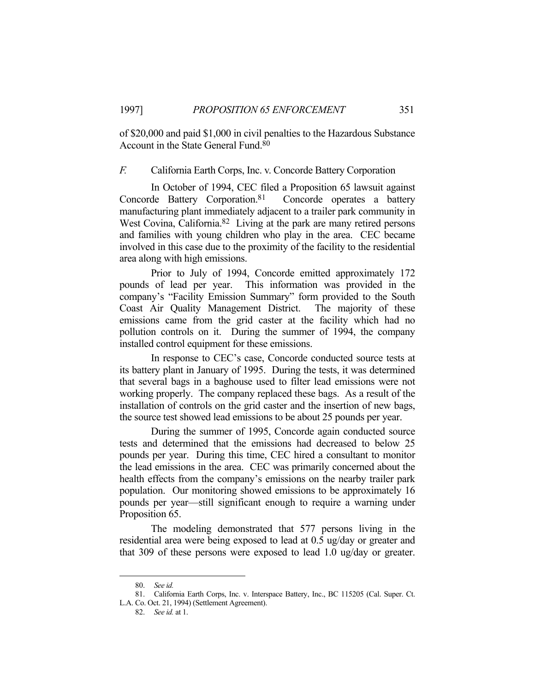of \$20,000 and paid \$1,000 in civil penalties to the Hazardous Substance Account in the State General Fund.80

## *F.* California Earth Corps, Inc. v. Concorde Battery Corporation

 In October of 1994, CEC filed a Proposition 65 lawsuit against Concorde Battery Corporation.81 Concorde operates a battery manufacturing plant immediately adjacent to a trailer park community in West Covina, California.<sup>82</sup> Living at the park are many retired persons and families with young children who play in the area. CEC became involved in this case due to the proximity of the facility to the residential area along with high emissions.

 Prior to July of 1994, Concorde emitted approximately 172 pounds of lead per year. This information was provided in the company's "Facility Emission Summary" form provided to the South Coast Air Quality Management District. The majority of these emissions came from the grid caster at the facility which had no pollution controls on it. During the summer of 1994, the company installed control equipment for these emissions.

 In response to CEC's case, Concorde conducted source tests at its battery plant in January of 1995. During the tests, it was determined that several bags in a baghouse used to filter lead emissions were not working properly. The company replaced these bags. As a result of the installation of controls on the grid caster and the insertion of new bags, the source test showed lead emissions to be about 25 pounds per year.

 During the summer of 1995, Concorde again conducted source tests and determined that the emissions had decreased to below 25 pounds per year. During this time, CEC hired a consultant to monitor the lead emissions in the area. CEC was primarily concerned about the health effects from the company's emissions on the nearby trailer park population. Our monitoring showed emissions to be approximately 16 pounds per year—still significant enough to require a warning under Proposition 65.

 The modeling demonstrated that 577 persons living in the residential area were being exposed to lead at 0.5 ug/day or greater and that 309 of these persons were exposed to lead 1.0 ug/day or greater.

 <sup>80.</sup> *See id.*

 <sup>81.</sup> California Earth Corps, Inc. v. Interspace Battery, Inc., BC 115205 (Cal. Super. Ct. L.A. Co. Oct. 21, 1994) (Settlement Agreement).

 <sup>82.</sup> *See id.* at 1.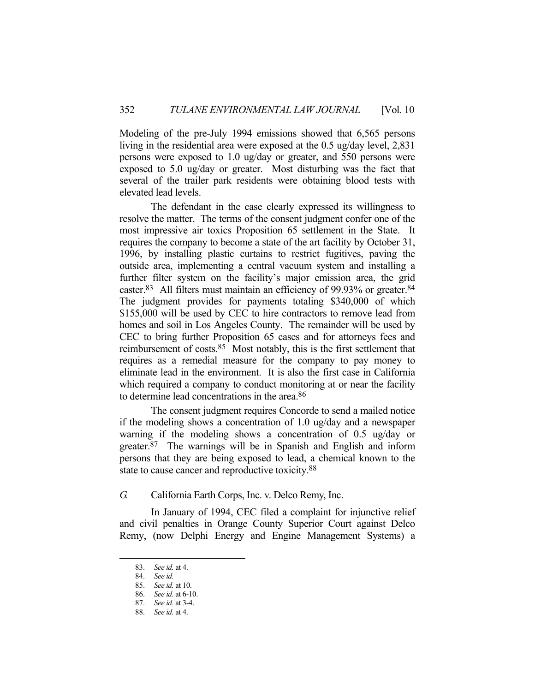Modeling of the pre-July 1994 emissions showed that 6,565 persons living in the residential area were exposed at the 0.5 ug/day level, 2,831 persons were exposed to 1.0 ug/day or greater, and 550 persons were exposed to 5.0 ug/day or greater. Most disturbing was the fact that several of the trailer park residents were obtaining blood tests with elevated lead levels.

 The defendant in the case clearly expressed its willingness to resolve the matter. The terms of the consent judgment confer one of the most impressive air toxics Proposition 65 settlement in the State. It requires the company to become a state of the art facility by October 31, 1996, by installing plastic curtains to restrict fugitives, paving the outside area, implementing a central vacuum system and installing a further filter system on the facility's major emission area, the grid caster.83 All filters must maintain an efficiency of 99.93% or greater.84 The judgment provides for payments totaling \$340,000 of which \$155,000 will be used by CEC to hire contractors to remove lead from homes and soil in Los Angeles County. The remainder will be used by CEC to bring further Proposition 65 cases and for attorneys fees and reimbursement of costs.85 Most notably, this is the first settlement that requires as a remedial measure for the company to pay money to eliminate lead in the environment. It is also the first case in California which required a company to conduct monitoring at or near the facility to determine lead concentrations in the area.86

 The consent judgment requires Concorde to send a mailed notice if the modeling shows a concentration of 1.0 ug/day and a newspaper warning if the modeling shows a concentration of 0.5 ug/day or greater.87 The warnings will be in Spanish and English and inform persons that they are being exposed to lead, a chemical known to the state to cause cancer and reproductive toxicity.<sup>88</sup>

*G.* California Earth Corps, Inc. v. Delco Remy, Inc.

 In January of 1994, CEC filed a complaint for injunctive relief and civil penalties in Orange County Superior Court against Delco Remy, (now Delphi Energy and Engine Management Systems) a

 <sup>83.</sup> *See id.* at 4.

 <sup>84.</sup> *See id.*

 <sup>85.</sup> *See id.* at 10.

 <sup>86.</sup> *See id.* at 6-10.

 <sup>87.</sup> *See id.* at 3-4.

 <sup>88.</sup> *See id.* at 4.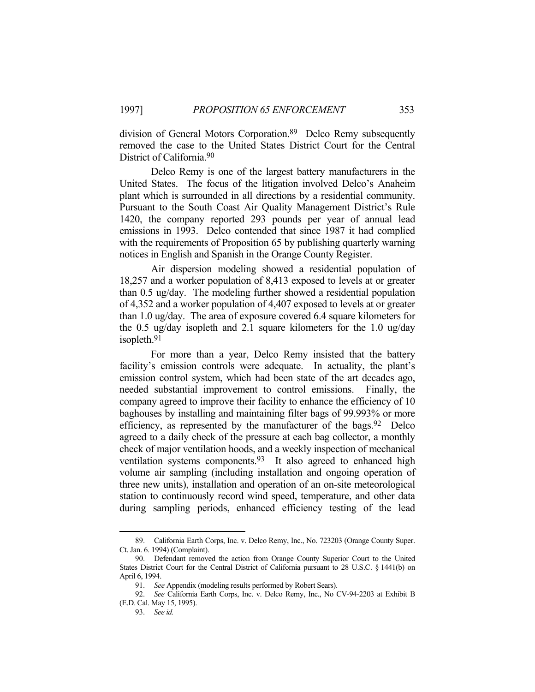division of General Motors Corporation.89 Delco Remy subsequently removed the case to the United States District Court for the Central District of California.90

 Delco Remy is one of the largest battery manufacturers in the United States. The focus of the litigation involved Delco's Anaheim plant which is surrounded in all directions by a residential community. Pursuant to the South Coast Air Quality Management District's Rule 1420, the company reported 293 pounds per year of annual lead emissions in 1993. Delco contended that since 1987 it had complied with the requirements of Proposition 65 by publishing quarterly warning notices in English and Spanish in the Orange County Register.

 Air dispersion modeling showed a residential population of 18,257 and a worker population of 8,413 exposed to levels at or greater than 0.5 ug/day. The modeling further showed a residential population of 4,352 and a worker population of 4,407 exposed to levels at or greater than 1.0 ug/day. The area of exposure covered 6.4 square kilometers for the 0.5 ug/day isopleth and 2.1 square kilometers for the 1.0 ug/day isopleth.91

 For more than a year, Delco Remy insisted that the battery facility's emission controls were adequate. In actuality, the plant's emission control system, which had been state of the art decades ago, needed substantial improvement to control emissions. Finally, the company agreed to improve their facility to enhance the efficiency of 10 baghouses by installing and maintaining filter bags of 99.993% or more efficiency, as represented by the manufacturer of the bags. <sup>92</sup> Delco agreed to a daily check of the pressure at each bag collector, a monthly check of major ventilation hoods, and a weekly inspection of mechanical ventilation systems components.<sup>93</sup> It also agreed to enhanced high volume air sampling (including installation and ongoing operation of three new units), installation and operation of an on-site meteorological station to continuously record wind speed, temperature, and other data during sampling periods, enhanced efficiency testing of the lead

 <sup>89.</sup> California Earth Corps, Inc. v. Delco Remy, Inc., No. 723203 (Orange County Super. Ct. Jan. 6. 1994) (Complaint).

 <sup>90.</sup> Defendant removed the action from Orange County Superior Court to the United States District Court for the Central District of California pursuant to 28 U.S.C. § 1441(b) on April 6, 1994.

 <sup>91.</sup> *See* Appendix (modeling results performed by Robert Sears).

 <sup>92.</sup> *See* California Earth Corps, Inc. v. Delco Remy, Inc., No CV-94-2203 at Exhibit B (E.D. Cal. May 15, 1995).

 <sup>93.</sup> *See id.*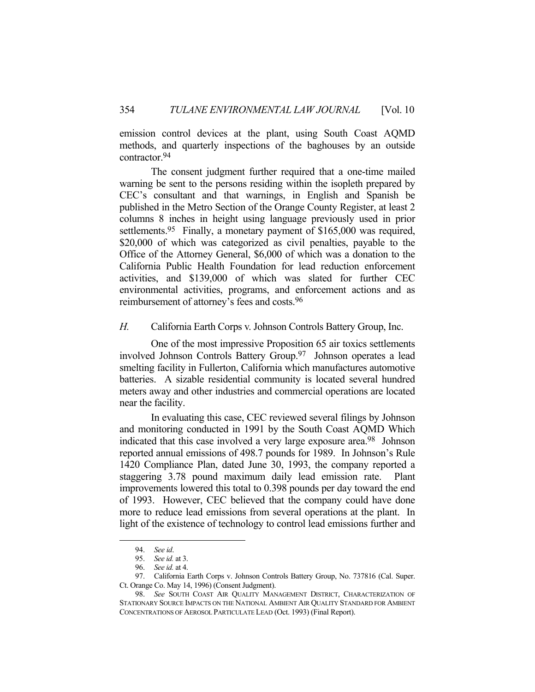emission control devices at the plant, using South Coast AQMD methods, and quarterly inspections of the baghouses by an outside contractor.94

 The consent judgment further required that a one-time mailed warning be sent to the persons residing within the isopleth prepared by CEC's consultant and that warnings, in English and Spanish be published in the Metro Section of the Orange County Register, at least 2 columns 8 inches in height using language previously used in prior settlements.<sup>95</sup> Finally, a monetary payment of \$165,000 was required, \$20,000 of which was categorized as civil penalties, payable to the Office of the Attorney General, \$6,000 of which was a donation to the California Public Health Foundation for lead reduction enforcement activities, and \$139,000 of which was slated for further CEC environmental activities, programs, and enforcement actions and as reimbursement of attorney's fees and costs.96

*H.* California Earth Corps v. Johnson Controls Battery Group, Inc.

 One of the most impressive Proposition 65 air toxics settlements involved Johnson Controls Battery Group.97 Johnson operates a lead smelting facility in Fullerton, California which manufactures automotive batteries. A sizable residential community is located several hundred meters away and other industries and commercial operations are located near the facility.

 In evaluating this case, CEC reviewed several filings by Johnson and monitoring conducted in 1991 by the South Coast AQMD Which indicated that this case involved a very large exposure area.98 Johnson reported annual emissions of 498.7 pounds for 1989. In Johnson's Rule 1420 Compliance Plan, dated June 30, 1993, the company reported a staggering 3.78 pound maximum daily lead emission rate. Plant improvements lowered this total to 0.398 pounds per day toward the end of 1993. However, CEC believed that the company could have done more to reduce lead emissions from several operations at the plant. In light of the existence of technology to control lead emissions further and

 <sup>94.</sup> *See id*.

 <sup>95.</sup> *See id.* at 3.

 <sup>96.</sup> *See id.* at 4.

 <sup>97.</sup> California Earth Corps v. Johnson Controls Battery Group, No. 737816 (Cal. Super. Ct. Orange Co. May 14, 1996) (Consent Judgment).

 <sup>98.</sup> *See* SOUTH COAST AIR QUALITY MANAGEMENT DISTRICT, CHARACTERIZATION OF STATIONARY SOURCE IMPACTS ON THE NATIONAL AMBIENT AIR QUALITY STANDARD FOR AMBIENT CONCENTRATIONS OF AEROSOL PARTICULATE LEAD (Oct. 1993) (Final Report).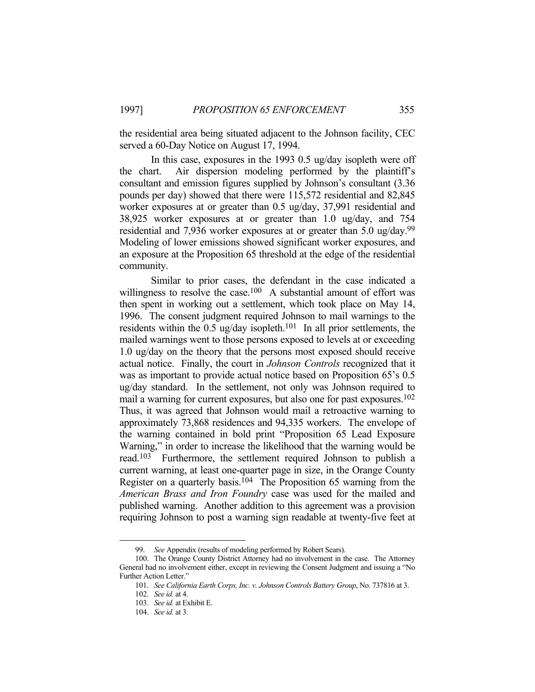the residential area being situated adjacent to the Johnson facility, CEC served a 60-Day Notice on August 17, 1994.

 In this case, exposures in the 1993 0.5 ug/day isopleth were off the chart. Air dispersion modeling performed by the plaintiff's consultant and emission figures supplied by Johnson's consultant (3.36 pounds per day) showed that there were 115,572 residential and 82,845 worker exposures at or greater than 0.5 ug/day, 37,991 residential and 38,925 worker exposures at or greater than 1.0 ug/day, and 754 residential and 7,936 worker exposures at or greater than 5.0 ug/day.99 Modeling of lower emissions showed significant worker exposures, and an exposure at the Proposition 65 threshold at the edge of the residential community.

 Similar to prior cases, the defendant in the case indicated a willingness to resolve the case.<sup>100</sup> A substantial amount of effort was then spent in working out a settlement, which took place on May 14, 1996. The consent judgment required Johnson to mail warnings to the residents within the 0.5 ug/day isopleth.<sup>101</sup> In all prior settlements, the mailed warnings went to those persons exposed to levels at or exceeding 1.0 ug/day on the theory that the persons most exposed should receive actual notice. Finally, the court in *Johnson Controls* recognized that it was as important to provide actual notice based on Proposition 65's 0.5 ug/day standard. In the settlement, not only was Johnson required to mail a warning for current exposures, but also one for past exposures.102 Thus, it was agreed that Johnson would mail a retroactive warning to approximately 73,868 residences and 94,335 workers. The envelope of the warning contained in bold print "Proposition 65 Lead Exposure Warning," in order to increase the likelihood that the warning would be read.103 Furthermore, the settlement required Johnson to publish a current warning, at least one-quarter page in size, in the Orange County Register on a quarterly basis.104 The Proposition 65 warning from the *American Brass and Iron Foundry* case was used for the mailed and published warning. Another addition to this agreement was a provision requiring Johnson to post a warning sign readable at twenty-five feet at

 <sup>99.</sup> *See* Appendix (results of modeling performed by Robert Sears).

 <sup>100.</sup> The Orange County District Attorney had no involvement in the case. The Attorney General had no involvement either, except in reviewing the Consent Judgment and issuing a "No Further Action Letter."

 <sup>101.</sup> *See California Earth Corps, Inc. v. Johnson Controls Battery Group*, No. 737816 at 3.

 <sup>102.</sup> *See id.* at 4.

 <sup>103.</sup> *See id.* at Exhibit E.

 <sup>104.</sup> *See id.* at 3.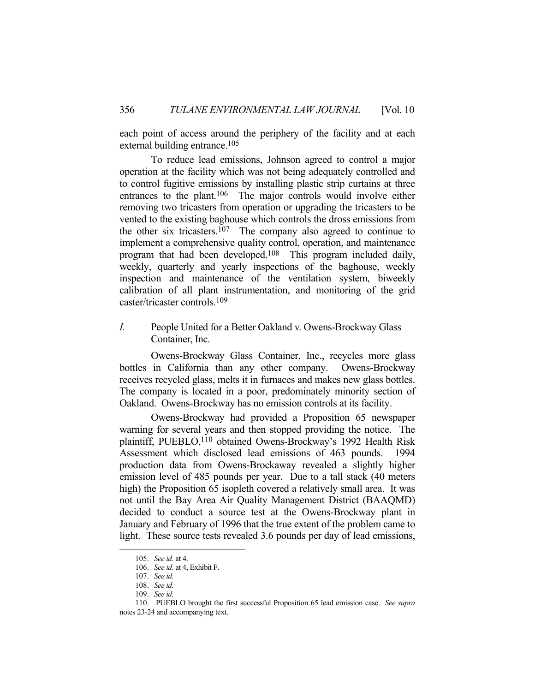each point of access around the periphery of the facility and at each external building entrance.<sup>105</sup>

 To reduce lead emissions, Johnson agreed to control a major operation at the facility which was not being adequately controlled and to control fugitive emissions by installing plastic strip curtains at three entrances to the plant.<sup>106</sup> The major controls would involve either removing two tricasters from operation or upgrading the tricasters to be vented to the existing baghouse which controls the dross emissions from the other six tricasters.<sup>107</sup> The company also agreed to continue to implement a comprehensive quality control, operation, and maintenance program that had been developed.108 This program included daily, weekly, quarterly and yearly inspections of the baghouse, weekly inspection and maintenance of the ventilation system, biweekly calibration of all plant instrumentation, and monitoring of the grid caster/tricaster controls.109

*I.* People United for a Better Oakland v. Owens-Brockway Glass Container, Inc.

 Owens-Brockway Glass Container, Inc., recycles more glass bottles in California than any other company. Owens-Brockway receives recycled glass, melts it in furnaces and makes new glass bottles. The company is located in a poor, predominately minority section of Oakland. Owens-Brockway has no emission controls at its facility.

 Owens-Brockway had provided a Proposition 65 newspaper warning for several years and then stopped providing the notice. The plaintiff, PUEBLO,110 obtained Owens-Brockway's 1992 Health Risk Assessment which disclosed lead emissions of 463 pounds. 1994 production data from Owens-Brockaway revealed a slightly higher emission level of 485 pounds per year. Due to a tall stack (40 meters high) the Proposition 65 isopleth covered a relatively small area. It was not until the Bay Area Air Quality Management District (BAAQMD) decided to conduct a source test at the Owens-Brockway plant in January and February of 1996 that the true extent of the problem came to light. These source tests revealed 3.6 pounds per day of lead emissions,

 <sup>105.</sup> *See id.* at 4.

 <sup>106.</sup> *See id.* at 4, Exhibit F.

 <sup>107.</sup> *See id.*

 <sup>108.</sup> *See id.*

 <sup>109.</sup> *See id.*

 <sup>110.</sup> PUEBLO brought the first successful Proposition 65 lead emission case. *See supra*

notes 23-24 and accompanying text.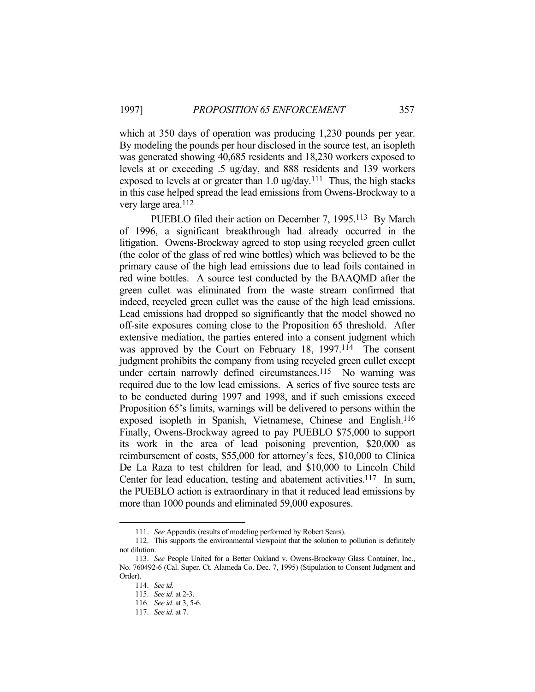which at 350 days of operation was producing 1,230 pounds per year. By modeling the pounds per hour disclosed in the source test, an isopleth was generated showing 40,685 residents and 18,230 workers exposed to levels at or exceeding .5 ug/day, and 888 residents and 139 workers exposed to levels at or greater than  $1.0 \text{ ug/day}$ .<sup>111</sup> Thus, the high stacks in this case helped spread the lead emissions from Owens-Brockway to a very large area.<sup>112</sup>

 PUEBLO filed their action on December 7, 1995.113 By March of 1996, a significant breakthrough had already occurred in the litigation. Owens-Brockway agreed to stop using recycled green cullet (the color of the glass of red wine bottles) which was believed to be the primary cause of the high lead emissions due to lead foils contained in red wine bottles. A source test conducted by the BAAQMD after the green cullet was eliminated from the waste stream confirmed that indeed, recycled green cullet was the cause of the high lead emissions. Lead emissions had dropped so significantly that the model showed no off-site exposures coming close to the Proposition 65 threshold. After extensive mediation, the parties entered into a consent judgment which was approved by the Court on February 18, 1997.<sup>114</sup> The consent judgment prohibits the company from using recycled green cullet except under certain narrowly defined circumstances.<sup>115</sup> No warning was required due to the low lead emissions. A series of five source tests are to be conducted during 1997 and 1998, and if such emissions exceed Proposition 65's limits, warnings will be delivered to persons within the exposed isopleth in Spanish, Vietnamese, Chinese and English.116 Finally, Owens-Brockway agreed to pay PUEBLO \$75,000 to support its work in the area of lead poisoning prevention, \$20,000 as reimbursement of costs, \$55,000 for attorney's fees, \$10,000 to Clinica De La Raza to test children for lead, and \$10,000 to Lincoln Child Center for lead education, testing and abatement activities.<sup>117</sup> In sum, the PUEBLO action is extraordinary in that it reduced lead emissions by more than 1000 pounds and eliminated 59,000 exposures.

 <sup>111.</sup> *See* Appendix (results of modeling performed by Robert Sears).

 <sup>112.</sup> This supports the environmental viewpoint that the solution to pollution is definitely not dilution.

 <sup>113.</sup> *See* People United for a Better Oakland v. Owens-Brockway Glass Container, Inc., No. 760492-6 (Cal. Super. Ct. Alameda Co. Dec. 7, 1995) (Stipulation to Consent Judgment and Order).

 <sup>114.</sup> *See id.*

 <sup>115.</sup> *See id.* at 2-3.

 <sup>116.</sup> *See id.* at 3, 5-6.

 <sup>117.</sup> *See id.* at 7.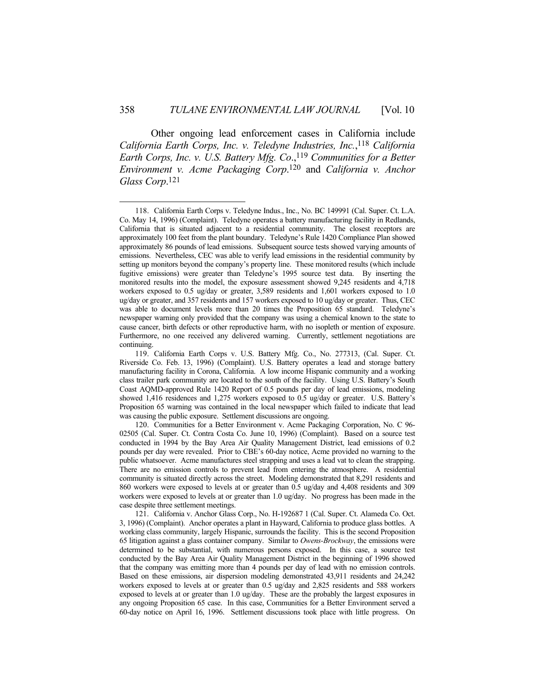Other ongoing lead enforcement cases in California include *California Earth Corps, Inc. v. Teledyne Industries, Inc.*, 118 *California Earth Corps, Inc. v. U.S. Battery Mfg. Co.*,<sup>119</sup> *Communities for a Better Environment v. Acme Packaging Corp*. 120 and *California v. Anchor Glass Corp*. 121

 <sup>118.</sup> California Earth Corps v. Teledyne Indus., Inc., No. BC 149991 (Cal. Super. Ct. L.A. Co. May 14, 1996) (Complaint). Teledyne operates a battery manufacturing facility in Redlands, California that is situated adjacent to a residential community. The closest receptors are approximately 100 feet from the plant boundary. Teledyne's Rule 1420 Compliance Plan showed approximately 86 pounds of lead emissions. Subsequent source tests showed varying amounts of emissions. Nevertheless, CEC was able to verify lead emissions in the residential community by setting up monitors beyond the company's property line. These monitored results (which include fugitive emissions) were greater than Teledyne's 1995 source test data. By inserting the monitored results into the model, the exposure assessment showed 9,245 residents and 4,718 workers exposed to 0.5 ug/day or greater, 3,589 residents and 1,601 workers exposed to 1.0 ug/day or greater, and 357 residents and 157 workers exposed to 10 ug/day or greater. Thus, CEC was able to document levels more than 20 times the Proposition 65 standard. Teledyne's newspaper warning only provided that the company was using a chemical known to the state to cause cancer, birth defects or other reproductive harm, with no isopleth or mention of exposure. Furthermore, no one received any delivered warning. Currently, settlement negotiations are continuing.

 <sup>119.</sup> California Earth Corps v. U.S. Battery Mfg. Co., No. 277313, (Cal. Super. Ct. Riverside Co. Feb. 13, 1996) (Complaint). U.S. Battery operates a lead and storage battery manufacturing facility in Corona, California. A low income Hispanic community and a working class trailer park community are located to the south of the facility. Using U.S. Battery's South Coast AQMD-approved Rule 1420 Report of 0.5 pounds per day of lead emissions, modeling showed 1,416 residences and 1,275 workers exposed to 0.5 ug/day or greater. U.S. Battery's Proposition 65 warning was contained in the local newspaper which failed to indicate that lead was causing the public exposure. Settlement discussions are ongoing.

 <sup>120.</sup> Communities for a Better Environment v. Acme Packaging Corporation, No. C 96- 02505 (Cal. Super. Ct. Contra Costa Co. June 10, 1996) (Complaint). Based on a source test conducted in 1994 by the Bay Area Air Quality Management District, lead emissions of 0.2 pounds per day were revealed. Prior to CBE's 60-day notice, Acme provided no warning to the public whatsoever. Acme manufactures steel strapping and uses a lead vat to clean the strapping. There are no emission controls to prevent lead from entering the atmosphere. A residential community is situated directly across the street. Modeling demonstrated that 8,291 residents and 860 workers were exposed to levels at or greater than 0.5 ug/day and 4,408 residents and 309 workers were exposed to levels at or greater than 1.0 ug/day. No progress has been made in the case despite three settlement meetings.

 <sup>121.</sup> California v. Anchor Glass Corp., No. H-192687 1 (Cal. Super. Ct. Alameda Co. Oct. 3, 1996) (Complaint). Anchor operates a plant in Hayward, California to produce glass bottles. A working class community, largely Hispanic, surrounds the facility. This is the second Proposition 65 litigation against a glass container company. Similar to *Owens-Brockway*, the emissions were determined to be substantial, with numerous persons exposed. In this case, a source test conducted by the Bay Area Air Quality Management District in the beginning of 1996 showed that the company was emitting more than 4 pounds per day of lead with no emission controls. Based on these emissions, air dispersion modeling demonstrated 43,911 residents and 24,242 workers exposed to levels at or greater than 0.5 ug/day and 2,825 residents and 588 workers exposed to levels at or greater than 1.0 ug/day. These are the probably the largest exposures in any ongoing Proposition 65 case. In this case, Communities for a Better Environment served a 60-day notice on April 16, 1996. Settlement discussions took place with little progress. On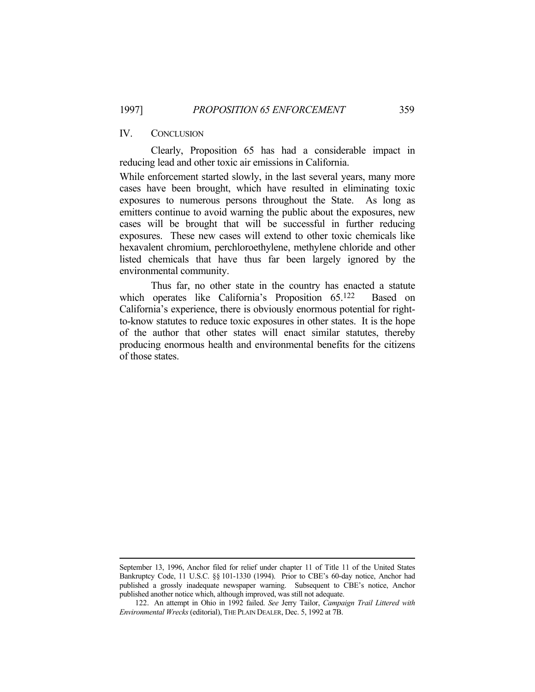#### IV. CONCLUSION

 Clearly, Proposition 65 has had a considerable impact in reducing lead and other toxic air emissions in California.

While enforcement started slowly, in the last several years, many more cases have been brought, which have resulted in eliminating toxic exposures to numerous persons throughout the State. As long as emitters continue to avoid warning the public about the exposures, new cases will be brought that will be successful in further reducing exposures. These new cases will extend to other toxic chemicals like hexavalent chromium, perchloroethylene, methylene chloride and other listed chemicals that have thus far been largely ignored by the environmental community.

 Thus far, no other state in the country has enacted a statute which operates like California's Proposition 65.<sup>122</sup> Based on California's experience, there is obviously enormous potential for rightto-know statutes to reduce toxic exposures in other states. It is the hope of the author that other states will enact similar statutes, thereby producing enormous health and environmental benefits for the citizens of those states.

September 13, 1996, Anchor filed for relief under chapter 11 of Title 11 of the United States Bankruptcy Code, 11 U.S.C. §§ 101-1330 (1994). Prior to CBE's 60-day notice, Anchor had published a grossly inadequate newspaper warning. Subsequent to CBE's notice, Anchor published another notice which, although improved, was still not adequate.

 <sup>122.</sup> An attempt in Ohio in 1992 failed. *See* Jerry Tailor, *Campaign Trail Littered with Environmental Wrecks* (editorial), THE PLAIN DEALER, Dec. 5, 1992 at 7B.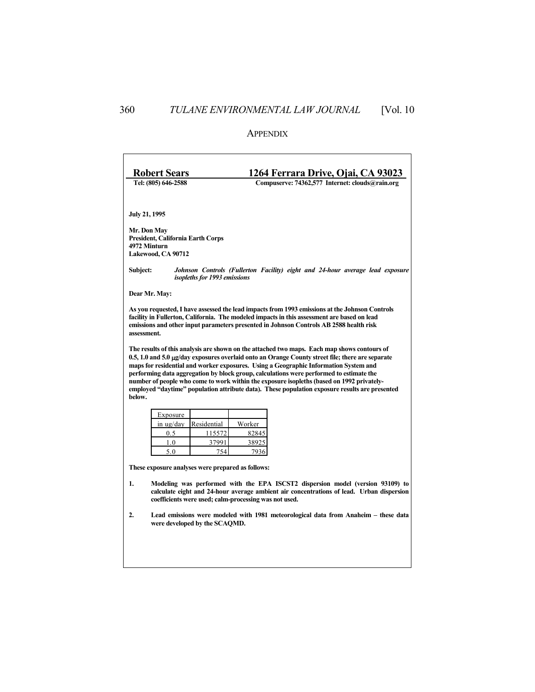## APPENDIX

| <b>Robert Sears</b>                                                                                                                                                                                                                                                                                                                                                                                                                                                                                                                                                                                  |                                                                                                                                                                                                                                                                                                        |             | 1264 Ferrara Drive, Ojai, CA 93023              |  |  |  |
|------------------------------------------------------------------------------------------------------------------------------------------------------------------------------------------------------------------------------------------------------------------------------------------------------------------------------------------------------------------------------------------------------------------------------------------------------------------------------------------------------------------------------------------------------------------------------------------------------|--------------------------------------------------------------------------------------------------------------------------------------------------------------------------------------------------------------------------------------------------------------------------------------------------------|-------------|-------------------------------------------------|--|--|--|
| Tel: (805) 646-2588                                                                                                                                                                                                                                                                                                                                                                                                                                                                                                                                                                                  |                                                                                                                                                                                                                                                                                                        |             | Compuserve: 74362,577 Internet: clouds@rain.org |  |  |  |
|                                                                                                                                                                                                                                                                                                                                                                                                                                                                                                                                                                                                      |                                                                                                                                                                                                                                                                                                        |             |                                                 |  |  |  |
|                                                                                                                                                                                                                                                                                                                                                                                                                                                                                                                                                                                                      | <b>July 21, 1995</b>                                                                                                                                                                                                                                                                                   |             |                                                 |  |  |  |
|                                                                                                                                                                                                                                                                                                                                                                                                                                                                                                                                                                                                      | Mr. Don May<br>President, California Earth Corps<br>4972 Minturn<br>Lakewood, CA 90712                                                                                                                                                                                                                 |             |                                                 |  |  |  |
| Subject:                                                                                                                                                                                                                                                                                                                                                                                                                                                                                                                                                                                             | Johnson Controls (Fullerton Facility) eight and 24-hour average lead exposure<br>isopleths for 1993 emissions                                                                                                                                                                                          |             |                                                 |  |  |  |
| Dear Mr. May:                                                                                                                                                                                                                                                                                                                                                                                                                                                                                                                                                                                        |                                                                                                                                                                                                                                                                                                        |             |                                                 |  |  |  |
|                                                                                                                                                                                                                                                                                                                                                                                                                                                                                                                                                                                                      | As you requested, I have assessed the lead impacts from 1993 emissions at the Johnson Controls<br>facility in Fullerton, California. The modeled impacts in this assessment are based on lead<br>emissions and other input parameters presented in Johnson Controls AB 2588 health risk<br>assessment. |             |                                                 |  |  |  |
| The results of this analysis are shown on the attached two maps. Each map shows contours of<br>$0.5$ , 1.0 and $5.0 \mu g$ /day exposures overlaid onto an Orange County street file; there are separate<br>maps for residential and worker exposures. Using a Geographic Information System and<br>performing data aggregation by block group, calculations were performed to estimate the<br>number of people who come to work within the exposure isopleths (based on 1992 privately-<br>employed "daytime" population attribute data). These population exposure results are presented<br>below. |                                                                                                                                                                                                                                                                                                        |             |                                                 |  |  |  |
|                                                                                                                                                                                                                                                                                                                                                                                                                                                                                                                                                                                                      | Exposure                                                                                                                                                                                                                                                                                               |             |                                                 |  |  |  |
|                                                                                                                                                                                                                                                                                                                                                                                                                                                                                                                                                                                                      | in ug/day                                                                                                                                                                                                                                                                                              | Residential | Worker                                          |  |  |  |
|                                                                                                                                                                                                                                                                                                                                                                                                                                                                                                                                                                                                      | 0.5                                                                                                                                                                                                                                                                                                    | 115572      | 82845                                           |  |  |  |
|                                                                                                                                                                                                                                                                                                                                                                                                                                                                                                                                                                                                      | 1.0                                                                                                                                                                                                                                                                                                    | 37991       | 38925                                           |  |  |  |
|                                                                                                                                                                                                                                                                                                                                                                                                                                                                                                                                                                                                      | 5.0                                                                                                                                                                                                                                                                                                    | 754         | 7936                                            |  |  |  |
|                                                                                                                                                                                                                                                                                                                                                                                                                                                                                                                                                                                                      | These exposure analyses were prepared as follows:                                                                                                                                                                                                                                                      |             |                                                 |  |  |  |
| 1.                                                                                                                                                                                                                                                                                                                                                                                                                                                                                                                                                                                                   | Modeling was performed with the EPA ISCST2 dispersion model (version 93109) to<br>calculate eight and 24-hour average ambient air concentrations of lead. Urban dispersion<br>coefficients were used; calm-processing was not used.                                                                    |             |                                                 |  |  |  |
| 2.                                                                                                                                                                                                                                                                                                                                                                                                                                                                                                                                                                                                   | Lead emissions were modeled with 1981 meteorological data from Anaheim – these data<br>were developed by the SCAOMD.                                                                                                                                                                                   |             |                                                 |  |  |  |
|                                                                                                                                                                                                                                                                                                                                                                                                                                                                                                                                                                                                      |                                                                                                                                                                                                                                                                                                        |             |                                                 |  |  |  |
|                                                                                                                                                                                                                                                                                                                                                                                                                                                                                                                                                                                                      |                                                                                                                                                                                                                                                                                                        |             |                                                 |  |  |  |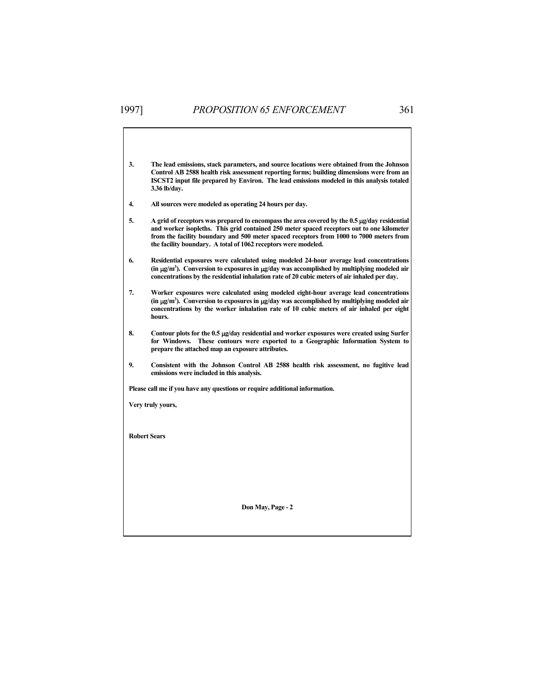- **3. The lead emissions, stack parameters, and source locations were obtained from the Johnson Control AB 2588 health risk assessment reporting forms; building dimensions were from an ISCST2 input file prepared by Environ. The lead emissions modeled in this analysis totaled 3.36 lb/day.**
- **4. All sources were modeled as operating 24 hours per day.**
- **5. A grid of receptors was prepared to encompass the area covered by the 0.5 g/day residential and worker isopleths. This grid contained 250 meter spaced receptors out to one kilometer from the facility boundary and 500 meter spaced receptors from 1000 to 7000 meters from the facility boundary. A total of 1062 receptors were modeled.**
- **6. Residential exposures were calculated using modeled 24-hour average lead concentrations (in g/m3 ). Conversion to exposures in g/day was accomplished by multiplying modeled air concentrations by the residential inhalation rate of 20 cubic meters of air inhaled per day.**
- **7. Worker exposures were calculated using modeled eight-hour average lead concentrations (in g/m3 ). Conversion to exposures in g/day was accomplished by multiplying modeled air concentrations by the worker inhalation rate of 10 cubic meters of air inhaled per eight hours.**
- **8. Contour plots for the 0.5 g/day residential and worker exposures were created using Surfer for Windows. These contours were exported to a Geographic Information System to prepare the attached map an exposure attributes.**
- **9. Consistent with the Johnson Control AB 2588 health risk assessment, no fugitive lead emissions were included in this analysis.**

 **Please call me if you have any questions or require additional information.** 

 **Very truly yours,** 

 **Robert Sears** 

**Don May, Page - 2**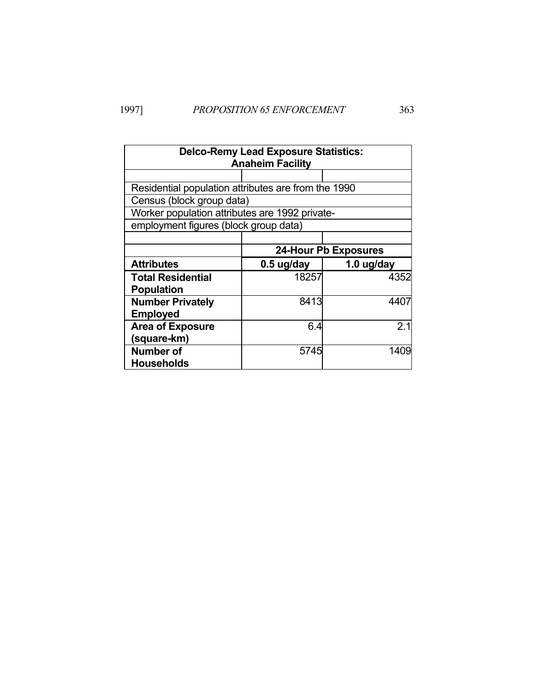| <b>Delco-Remy Lead Exposure Statistics:</b><br><b>Anaheim Facility</b> |                             |                 |  |
|------------------------------------------------------------------------|-----------------------------|-----------------|--|
|                                                                        |                             |                 |  |
| Residential population attributes are from the 1990                    |                             |                 |  |
| Census (block group data)                                              |                             |                 |  |
| Worker population attributes are 1992 private-                         |                             |                 |  |
| employment figures (block group data)                                  |                             |                 |  |
|                                                                        |                             |                 |  |
|                                                                        | <b>24-Hour Pb Exposures</b> |                 |  |
| <b>Attributes</b>                                                      | 0.5 ug/day                  | 1.0 $\mu$ g/day |  |
| <b>Total Residential</b>                                               | 18257                       | 4352            |  |
| <b>Population</b>                                                      |                             |                 |  |
| <b>Number Privately</b>                                                | 8413                        | 4407            |  |
| <b>Employed</b>                                                        |                             |                 |  |
| <b>Area of Exposure</b>                                                | 6.4                         | 2.1             |  |
| (square-km)                                                            |                             |                 |  |
| Number of                                                              | 5745                        | 1409            |  |
| <b>Households</b>                                                      |                             |                 |  |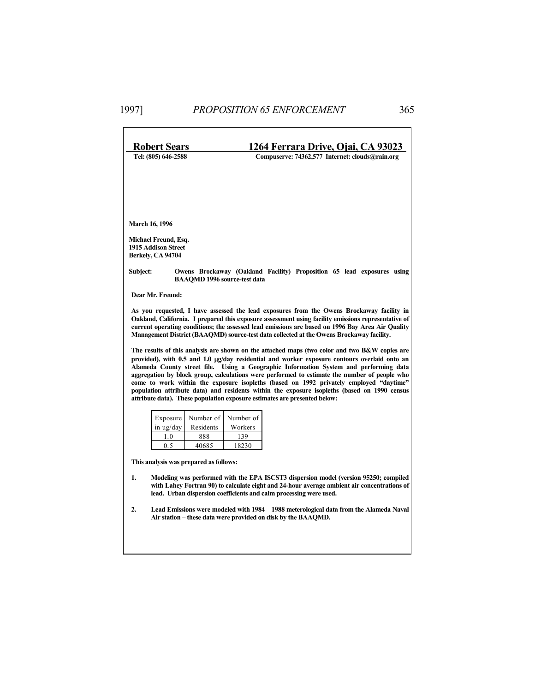| <b>Robert Sears</b>                    |                                                                                                                                                                   |                        | 1264 Ferrara Drive, Ojai, CA 93023                                                                                                                                                           |  |  |  |
|----------------------------------------|-------------------------------------------------------------------------------------------------------------------------------------------------------------------|------------------------|----------------------------------------------------------------------------------------------------------------------------------------------------------------------------------------------|--|--|--|
|                                        | Tel: (805) 646-2588                                                                                                                                               |                        | Compuserve: 74362,577 Internet: clouds@rain.org                                                                                                                                              |  |  |  |
|                                        |                                                                                                                                                                   |                        |                                                                                                                                                                                              |  |  |  |
|                                        |                                                                                                                                                                   |                        |                                                                                                                                                                                              |  |  |  |
|                                        |                                                                                                                                                                   |                        |                                                                                                                                                                                              |  |  |  |
|                                        |                                                                                                                                                                   |                        |                                                                                                                                                                                              |  |  |  |
|                                        | <b>March 16, 1996</b>                                                                                                                                             |                        |                                                                                                                                                                                              |  |  |  |
|                                        | Michael Freund, Esq.<br><b>1915 Addison Street</b>                                                                                                                |                        |                                                                                                                                                                                              |  |  |  |
|                                        | Berkelv, CA 94704                                                                                                                                                 |                        |                                                                                                                                                                                              |  |  |  |
| Subject:                               |                                                                                                                                                                   |                        | Owens Brockaway (Oakland Facility) Proposition 65 lead exposures using                                                                                                                       |  |  |  |
|                                        |                                                                                                                                                                   |                        | <b>BAAOMD 1996 source-test data</b>                                                                                                                                                          |  |  |  |
|                                        | Dear Mr. Freund:                                                                                                                                                  |                        |                                                                                                                                                                                              |  |  |  |
|                                        |                                                                                                                                                                   |                        | As you requested, I have assessed the lead exposures from the Owens Brockaway facility in                                                                                                    |  |  |  |
|                                        |                                                                                                                                                                   |                        | Oakland, California. I prepared this exposure assessment using facility emissions representative of                                                                                          |  |  |  |
|                                        |                                                                                                                                                                   |                        | current operating conditions; the assessed lead emissions are based on 1996 Bay Area Air Quality<br>Management District (BAAQMD) source-test data collected at the Owens Brockaway facility. |  |  |  |
|                                        |                                                                                                                                                                   |                        | The results of this analysis are shown on the attached maps (two color and two B&W copies are                                                                                                |  |  |  |
|                                        |                                                                                                                                                                   |                        | provided), with 0.5 and 1.0 µg/day residential and worker exposure contours overlaid onto an<br>Alameda County street file. Using a Geographic Information System and performing data        |  |  |  |
|                                        |                                                                                                                                                                   |                        | aggregation by block group, calculations were performed to estimate the number of people who                                                                                                 |  |  |  |
|                                        |                                                                                                                                                                   |                        | come to work within the exposure isopleths (based on 1992 privately employed "daytime"<br>population attribute data) and residents within the exposure isopleths (based on 1990 census       |  |  |  |
|                                        |                                                                                                                                                                   |                        | attribute data). These population exposure estimates are presented below:                                                                                                                    |  |  |  |
|                                        |                                                                                                                                                                   |                        |                                                                                                                                                                                              |  |  |  |
|                                        | Exposure<br>in ug/day                                                                                                                                             | Number of<br>Residents | Number of<br>Workers                                                                                                                                                                         |  |  |  |
|                                        | 1.0                                                                                                                                                               | 888                    | 139                                                                                                                                                                                          |  |  |  |
|                                        | 0.5                                                                                                                                                               | 40685                  | 18230                                                                                                                                                                                        |  |  |  |
| This analysis was prepared as follows: |                                                                                                                                                                   |                        |                                                                                                                                                                                              |  |  |  |
| 1.                                     | Modeling was performed with the EPA ISCST3 dispersion model (version 95250; compiled                                                                              |                        |                                                                                                                                                                                              |  |  |  |
|                                        | with Lahey Fortran 90) to calculate eight and 24-hour average ambient air concentrations of<br>lead. Urban dispersion coefficients and calm processing were used. |                        |                                                                                                                                                                                              |  |  |  |
|                                        |                                                                                                                                                                   |                        |                                                                                                                                                                                              |  |  |  |
| 2.                                     | Lead Emissions were modeled with 1984 – 1988 meterological data from the Alameda Naval<br>Air station – these data were provided on disk by the BAAQMD.           |                        |                                                                                                                                                                                              |  |  |  |
|                                        |                                                                                                                                                                   |                        |                                                                                                                                                                                              |  |  |  |
|                                        |                                                                                                                                                                   |                        |                                                                                                                                                                                              |  |  |  |
|                                        |                                                                                                                                                                   |                        |                                                                                                                                                                                              |  |  |  |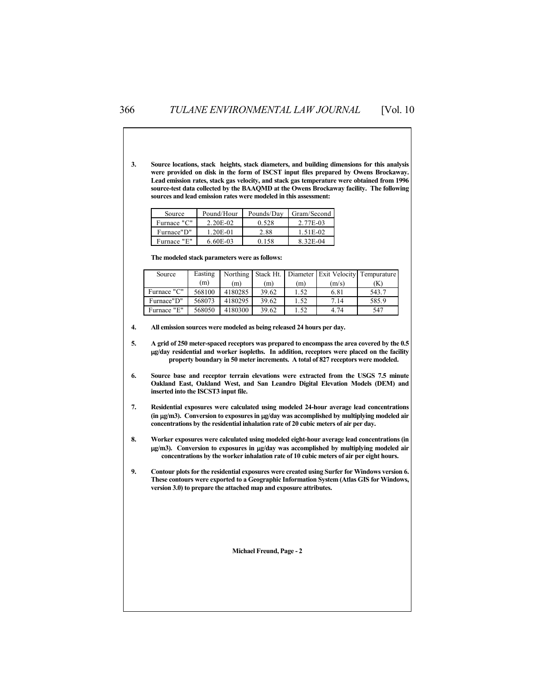**3. Source locations, stack heights, stack diameters, and building dimensions for this analysis were provided on disk in the form of ISCST input files prepared by Owens Brockaway. Lead emission rates, stack gas velocity, and stack gas temperature were obtained from 1996 source-test data collected by the BAAQMD at the Owens Brockaway facility. The following sources and lead emission rates were modeled in this assessment:** 

| Source      | Pound/Hour   | Pounds/Dav | Gram/Second |  |
|-------------|--------------|------------|-------------|--|
| Furnace "C" | $2.20E-02$   | 0.528      | 2.77E-03    |  |
| Furnace"D"  | $1.20E - 01$ | 2.88       | 1.51E-02    |  |
| Furnace "E" | $6.60E-03$   | 0 158      | 8.32E-04    |  |

 **The modeled stack parameters were as follows:** 

| Source      | Easting |         |       |      |       | Northing Stack Ht. Diameter Exit Velocity Tempurature |
|-------------|---------|---------|-------|------|-------|-------------------------------------------------------|
|             | (m)     | (m)     | (m)   | (m)  | (m/s) | (K)                                                   |
| Furnace "C" | 568100  | 4180285 | 39.62 | 1.52 | 6.81  | 543.7                                                 |
| Furnace"D"  | 568073  | 4180295 | 39.62 | 1.52 | 7.14  | 585.9                                                 |
| Furnace "E" | 568050  | 4180300 | 39.62 | 1.52 | 4.74  | 547                                                   |

 **4. All emission sources were modeled as being released 24 hours per day.** 

 **5. A grid of 250 meter-spaced receptors was prepared to encompass the area covered by the 0.5 g/day residential and worker isopleths. In addition, receptors were placed on the facility property boundary in 50 meter increments. A total of 827 receptors were modeled.** 

- **6. Source base and receptor terrain elevations were extracted from the USGS 7.5 minute Oakland East, Oakland West, and San Leandro Digital Elevation Models (DEM) and inserted into the ISCST3 input file.**
- **7. Residential exposures were calculated using modeled 24-hour average lead concentrations (in g/m3). Conversion to exposures in g/day was accomplished by multiplying modeled air concentrations by the residential inhalation rate of 20 cubic meters of air per day.**
- **8. Worker exposures were calculated using modeled eight-hour average lead concentrations (in g/m3). Conversion to exposures in g/day was accomplished by multiplying modeled air concentrations by the worker inhalation rate of 10 cubic meters of air per eight hours.**
- **9. Contour plots for the residential exposures were created using Surfer for Windows version 6. These contours were exported to a Geographic Information System (Atlas GIS for Windows, version 3.0) to prepare the attached map and exposure attributes.**

**Michael Freund, Page - 2**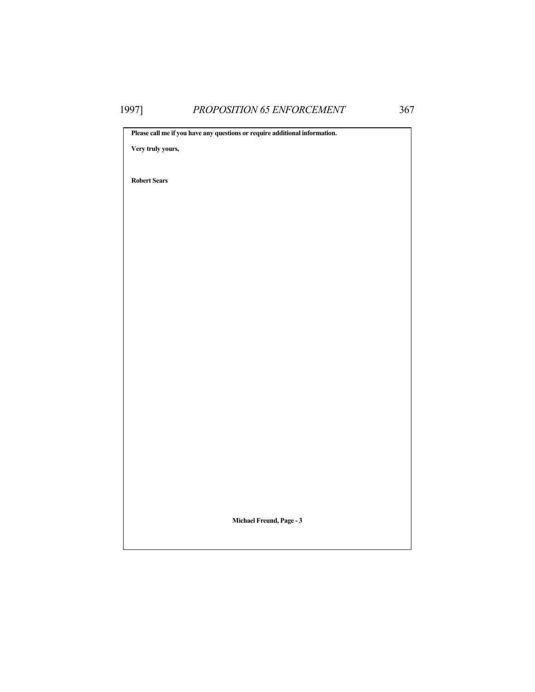**Please call me if you have any questions or require additional information. Very truly yours, Robert Sears Michael Freund, Page - 3**